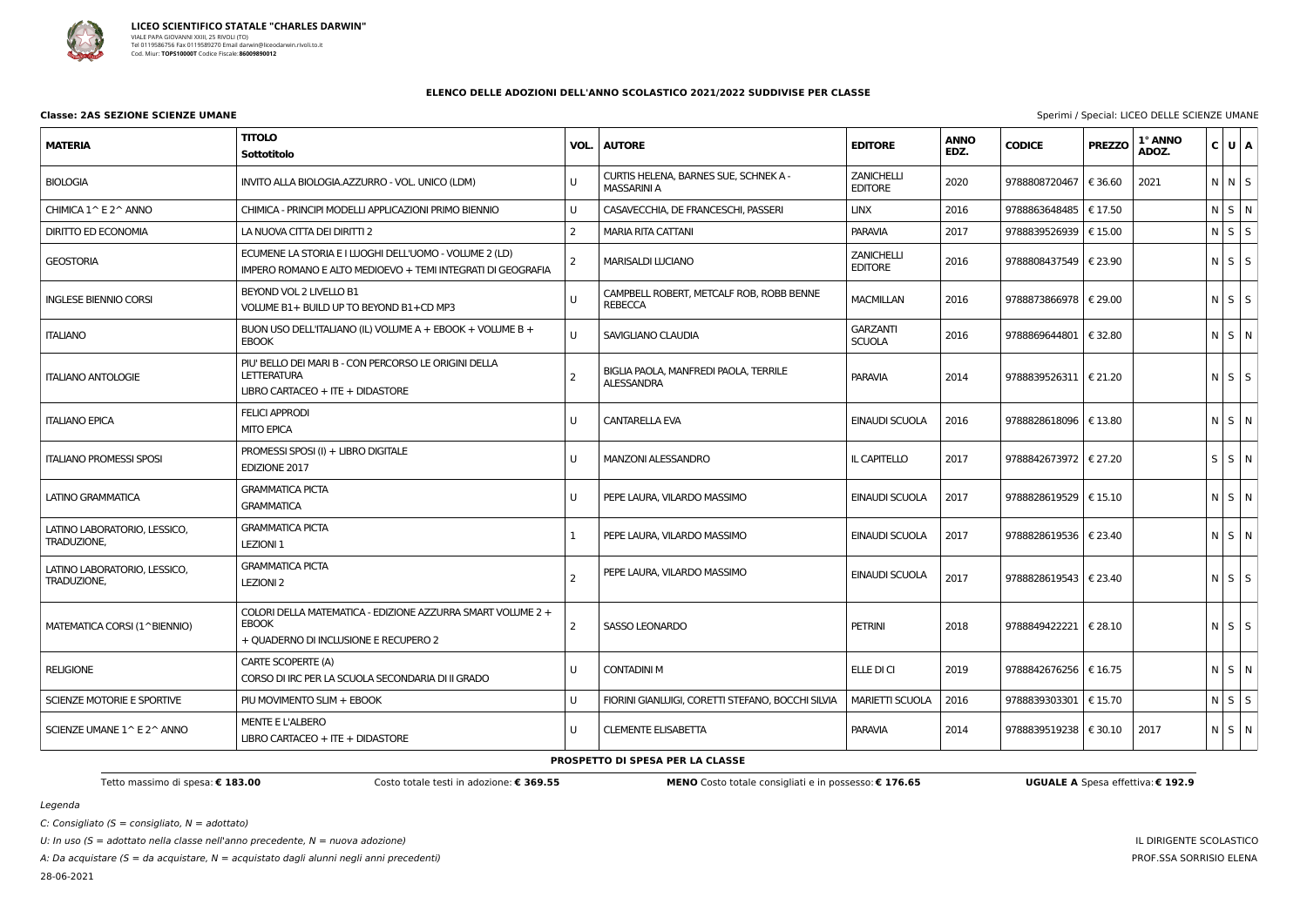

28-06-2021

### IL DIRIGENTE SCOLASTICO PROF.SSA SORRISIO ELENA

| <b>UGUALE A</b> Spesa effettiva: € 192.9 |  |  |
|------------------------------------------|--|--|

#### **ELENCO DELLE ADOZIONI DELL'ANNO SCOLASTICO 2021/2022 SUDDIVISE PER CLASSE**

| <b>Classe: 2AS SEZIONE SCIENZE UMANE</b>    |                                                                                                                       |                |                                                             |                                     |                     |                         |               | Sperimi / Special: LICEO DELLE SCIENZE UMANE |                   |  |
|---------------------------------------------|-----------------------------------------------------------------------------------------------------------------------|----------------|-------------------------------------------------------------|-------------------------------------|---------------------|-------------------------|---------------|----------------------------------------------|-------------------|--|
| <b>MATERIA</b>                              | <b>TITOLO</b><br>Sottotitolo                                                                                          | VOL.           | <b>AUTORE</b>                                               | <b>EDITORE</b>                      | <b>ANNO</b><br>EDZ. | <b>CODICE</b>           | <b>PREZZO</b> | 1° ANNO<br>ADOZ.                             | C U A             |  |
| <b>BIOLOGIA</b>                             | INVITO ALLA BIOLOGIA.AZZURRO - VOL. UNICO (LDM)                                                                       | $\cup$         | CURTIS HELENA, BARNES SUE, SCHNEK A -<br><b>MASSARINI A</b> | <b>ZANICHELLI</b><br><b>EDITORE</b> | 2020                | 9788808720467           | € 36.60       | 2021                                         | NNS               |  |
| CHIMICA 1^ E 2^ ANNO                        | CHIMICA - PRINCIPI MODELLI APPLICAZIONI PRIMO BIENNIO                                                                 |                | CASAVECCHIA, DE FRANCESCHI, PASSERI                         | <b>LINX</b>                         | 2016                | 9788863648485           | € 17.50       |                                              | $N$ $S$ $N$       |  |
| <b>DIRITTO ED ECONOMIA</b>                  | LA NUOVA CITTA DEI DIRITTI 2                                                                                          | $\overline{2}$ | <b>MARIA RITA CATTANI</b>                                   | <b>PARAVIA</b>                      | 2017                | 9788839526939   € 15.00 |               |                                              | $N \mid S \mid S$ |  |
| <b>GEOSTORIA</b>                            | ECUMENE LA STORIA E I LUOGHI DELL'UOMO - VOLUME 2 (LD)<br>IMPERO ROMANO E ALTO MEDIOEVO + TEMI INTEGRATI DI GEOGRAFIA | 2              | <b>MARISALDI LUCIANO</b>                                    | <b>ZANICHELLI</b><br><b>EDITORE</b> | 2016                | 9788808437549   € 23.90 |               |                                              | $N$ $S$ $S$       |  |
| <b>INGLESE BIENNIO CORSI</b>                | BEYOND VOL 2 LIVELLO B1<br>VOLUME B1+ BUILD UP TO BEYOND B1+CD MP3                                                    | -U             | CAMPBELL ROBERT, METCALF ROB, ROBB BENNE<br><b>REBECCA</b>  | <b>MACMILLAN</b>                    | 2016                | 9788873866978   € 29.00 |               |                                              | $N$ $S$ $S$       |  |
| <b>ITALIANO</b>                             | BUON USO DELL'ITALIANO (IL) VOLUME A + EBOOK + VOLUME B +<br><b>EBOOK</b>                                             | $\cup$         | SAVIGLIANO CLAUDIA                                          | <b>GARZANTI</b><br><b>SCUOLA</b>    | 2016                | 9788869644801   € 32.80 |               |                                              | N S N             |  |
| <b>ITALIANO ANTOLOGIE</b>                   | PIU' BELLO DEI MARI B - CON PERCORSO LE ORIGINI DELLA<br><b>LETTERATURA</b><br>LIBRO CARTACEO + ITE + DIDASTORE       |                | BIGLIA PAOLA, MANFREDI PAOLA, TERRILE<br><b>ALESSANDRA</b>  | <b>PARAVIA</b>                      | 2014                | 9788839526311   € 21.20 |               |                                              | $N$ $S$ $S$       |  |
| <b>ITALIANO EPICA</b>                       | <b>FELICI APPRODI</b><br><b>MITO EPICA</b>                                                                            | U              | <b>CANTARELLA EVA</b>                                       | EINAUDI SCUOLA                      | 2016                | 9788828618096   € 13.80 |               |                                              | N S N             |  |
| <b>ITALIANO PROMESSI SPOSI</b>              | PROMESSI SPOSI (I) + LIBRO DIGITALE<br>EDIZIONE 2017                                                                  |                | <b>MANZONI ALESSANDRO</b>                                   | IL CAPITELLO                        | 2017                | 9788842673972   € 27.20 |               |                                              | $S$ $S$ $N$       |  |
| <b>LATINO GRAMMATICA</b>                    | <b>GRAMMATICA PICTA</b><br><b>GRAMMATICA</b>                                                                          | U              | PEPE LAURA, VILARDO MASSIMO                                 | EINAUDI SCUOLA                      | 2017                | 9788828619529   € 15.10 |               |                                              | N S N             |  |
| LATINO LABORATORIO, LESSICO,<br>TRADUZIONE, | <b>GRAMMATICA PICTA</b><br><b>LEZIONI 1</b>                                                                           |                | PEPE LAURA, VILARDO MASSIMO                                 | EINAUDI SCUOLA                      | 2017                | 9788828619536   € 23.40 |               |                                              | N S N             |  |
| LATINO LABORATORIO, LESSICO,<br>TRADUZIONE, | <b>GRAMMATICA PICTA</b><br><b>LEZIONI 2</b>                                                                           |                | PEPE LAURA, VILARDO MASSIMO                                 | EINAUDI SCUOLA                      | 2017                | 9788828619543   € 23.40 |               |                                              | $N$ $S$ $S$       |  |
| MATEMATICA CORSI (1^BIENNIO)                | COLORI DELLA MATEMATICA - EDIZIONE AZZURRA SMART VOLUME 2 +<br><b>EBOOK</b><br>+ QUADERNO DI INCLUSIONE E RECUPERO 2  | $\overline{2}$ | <b>SASSO LEONARDO</b>                                       | <b>PETRINI</b>                      | 2018                | 9788849422221 € 28.10   |               |                                              | $N$ $S$ $S$       |  |
| <b>RELIGIONE</b>                            | CARTE SCOPERTE (A)<br>CORSO DI IRC PER LA SCUOLA SECONDARIA DI II GRADO                                               |                | <b>CONTADINI M</b>                                          | ELLE DI CI                          | 2019                | 9788842676256   € 16.75 |               |                                              | N S N             |  |
| SCIENZE MOTORIE E SPORTIVE                  | PIU MOVIMENTO SLIM + EBOOK                                                                                            | U              | FIORINI GIANLUIGI, CORETTI STEFANO, BOCCHI SILVIA           | <b>MARIETTI SCUOLA</b>              | 2016                | 9788839303301   € 15.70 |               |                                              | $N$ $S$ $S$       |  |
| SCIENZE UMANE 1^ E 2^ ANNO                  | MENTE E L'ALBERO<br>LIBRO CARTACEO + ITE + DIDASTORE                                                                  | U              | <b>CLEMENTE ELISABETTA</b>                                  | <b>PARAVIA</b>                      | 2014                | 9788839519238   € 30.10 |               | 2017                                         | $N$ $S$ $N$       |  |

**PROSPETTO DI SPESA PER LA CLASSE**

Tetto massimo di spesa: € 183.00 Costo totale testi in adozione: € 369.55 MENO Costo totale consigliati e in possesso: € 176.65 UGUALE A Sp

C: Consigliato ( $S =$  consigliato,  $N =$  adottato)

U: In uso ( $S =$  adottato nella classe nell'anno precedente,  $N =$  nuova adozione)

A: Da acquistare (S = da acquistare,  $N =$  acquistato dagli alunni negli anni precedenti)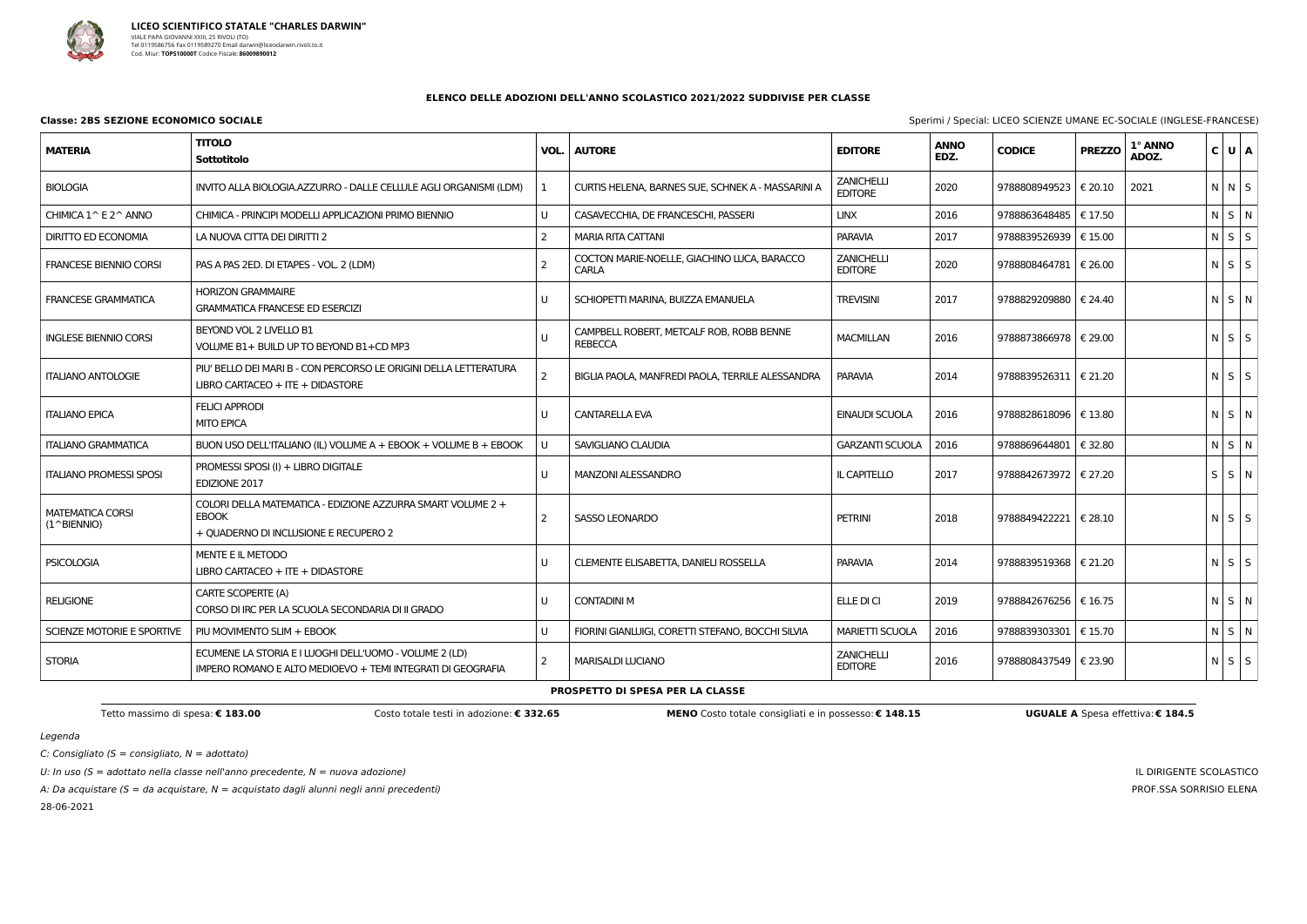

C: Consigliato ( $S =$  consigliato,  $N =$  adottato)

U: In uso ( $S =$  adottato nella classe nell'anno precedente,  $N =$  nuova adozione)

A: Da acquistare (S = da acquistare,  $N =$  acquistato dagli alunni negli anni precedenti)

28-06-2021

**Classe: 2BS SEZIONE ECONOMICO SOCIALE** Sperimi / Special: LICEO SCIENZE UMANE EC-SOCIALE (INGLESE-FRANCESE)

IL DIRIGENTE SCOLASTICO PROF.SSA SORRISIO ELENA

#### **ELENCO DELLE ADOZIONI DELL'ANNO SCOLASTICO 2021/2022 SUDDIVISE PER CLASSE**

| <b>MATERIA</b>                                   | <b>TITOLO</b><br>Sottotitolo                                                                                          | VOL.           | <b>AUTORE</b>                                              | <b>EDITORE</b>                      | <b>ANNO</b><br>EDZ. | <b>CODICE</b>           | <b>PREZZO</b>    | 1° ANNO<br>ADOZ. | C U A       |  |
|--------------------------------------------------|-----------------------------------------------------------------------------------------------------------------------|----------------|------------------------------------------------------------|-------------------------------------|---------------------|-------------------------|------------------|------------------|-------------|--|
| <b>BIOLOGIA</b>                                  | INVITO ALLA BIOLOGIA.AZZURRO - DALLE CELLULE AGLI ORGANISMI (LDM)                                                     |                | CURTIS HELENA, BARNES SUE, SCHNEK A - MASSARINI A          | <b>ZANICHELLI</b><br><b>EDITORE</b> | 2020                | 9788808949523   € 20.10 |                  | 2021             | NNS         |  |
| CHIMICA 1^ E 2^ ANNO                             | CHIMICA - PRINCIPI MODELLI APPLICAZIONI PRIMO BIENNIO                                                                 | U              | CASAVECCHIA, DE FRANCESCHI, PASSERI                        | <b>LINX</b>                         | 2016                | 9788863648485           | € 17.50          |                  | N S N       |  |
| DIRITTO ED ECONOMIA                              | LA NUOVA CITTA DEI DIRITTI 2                                                                                          | $\overline{2}$ | <b>MARIA RITA CATTANI</b>                                  | <b>PARAVIA</b>                      | 2017                | 9788839526939           | $\epsilon$ 15.00 |                  | $N$ $S$ $S$ |  |
| <b>FRANCESE BIENNIO CORSI</b>                    | PAS A PAS 2ED. DI ETAPES - VOL. 2 (LDM)                                                                               | $\overline{2}$ | COCTON MARIE-NOELLE, GIACHINO LUCA, BARACCO<br>CARLA       | <b>ZANICHELLI</b><br><b>EDITORE</b> | 2020                | 9788808464781   € 26.00 |                  |                  | $N$ S $S$   |  |
| <b>FRANCESE GRAMMATICA</b>                       | <b>HORIZON GRAMMAIRE</b><br><b>GRAMMATICA FRANCESE ED ESERCIZI</b>                                                    | U              | SCHIOPETTI MARINA, BUIZZA EMANUELA                         | <b>TREVISINI</b>                    | 2017                | 9788829209880   € 24.40 |                  |                  | N S N       |  |
| <b>INGLESE BIENNIO CORSI</b>                     | BEYOND VOL 2 LIVELLO B1<br>VOLUME B1+ BUILD UP TO BEYOND B1+CD MP3                                                    | U              | CAMPBELL ROBERT, METCALF ROB, ROBB BENNE<br><b>REBECCA</b> | <b>MACMILLAN</b>                    | 2016                | 9788873866978   € 29.00 |                  |                  | $N$ $S$ $S$ |  |
| <b>ITALIANO ANTOLOGIE</b>                        | PIU' BELLO DEI MARI B - CON PERCORSO LE ORIGINI DELLA LETTERATURA<br>$LIBRO$ CARTACEO + ITE + DIDASTORE               | $\overline{2}$ | BIGLIA PAOLA, MANFREDI PAOLA, TERRILE ALESSANDRA           | <b>PARAVIA</b>                      | 2014                | 9788839526311           | € 21.20          |                  | $N$ S $S$   |  |
| <b>ITALIANO EPICA</b>                            | <b>FELICI APPRODI</b><br><b>MITO EPICA</b>                                                                            | U              | <b>CANTARELLA EVA</b>                                      | EINAUDI SCUOLA                      | 2016                | 9788828618096   € 13.80 |                  |                  | N S N       |  |
| <b>ITALIANO GRAMMATICA</b>                       | BUON USO DELL'ITALIANO (IL) VOLUME A + EBOOK + VOLUME B + EBOOK                                                       | U              | SAVIGLIANO CLAUDIA                                         | <b>GARZANTI SCUOLA</b>              | 2016                | 9788869644801           | € 32.80          |                  | N S N       |  |
| <b>ITALIANO PROMESSI SPOSI</b>                   | PROMESSI SPOSI (I) + LIBRO DIGITALE<br>EDIZIONE 2017                                                                  | U              | <b>MANZONI ALESSANDRO</b>                                  | IL CAPITELLO                        | 2017                | 9788842673972   € 27.20 |                  |                  | $S$ $S$ $N$ |  |
| <b>MATEMATICA CORSI</b><br>$(1^{\wedge}BIFNNIO)$ | COLORI DELLA MATEMATICA - EDIZIONE AZZURRA SMART VOLUME 2 +<br><b>EBOOK</b><br>+ QUADERNO DI INCLUSIONE E RECUPERO 2  | $\overline{2}$ | <b>SASSO LEONARDO</b>                                      | <b>PETRINI</b>                      | 2018                | 9788849422221   € 28.10 |                  |                  | $N$ $S$ $S$ |  |
| <b>PSICOLOGIA</b>                                | MENTE E IL METODO<br>LIBRO CARTACEO $+$ ITE $+$ DIDASTORE                                                             | U              | CLEMENTE ELISABETTA, DANIELI ROSSELLA                      | <b>PARAVIA</b>                      | 2014                | 9788839519368   € 21.20 |                  |                  | $N$ $S$ $S$ |  |
| <b>RELIGIONE</b>                                 | CARTE SCOPERTE (A)<br>CORSO DI IRC PER LA SCUOLA SECONDARIA DI II GRADO                                               | U              | <b>CONTADINI M</b>                                         | ELLE DI CI                          | 2019                | 9788842676256   € 16.75 |                  |                  | $N$ $S$ $N$ |  |
| SCIENZE MOTORIE E SPORTIVE                       | PIU MOVIMENTO SLIM + EBOOK                                                                                            | U              | FIORINI GIANLUIGI, CORETTI STEFANO, BOCCHI SILVIA          | <b>MARIETTI SCUOLA</b>              | 2016                | 9788839303301   € 15.70 |                  |                  | $N$ $S$ $N$ |  |
| <b>STORIA</b>                                    | ECUMENE LA STORIA E I LUOGHI DELL'UOMO - VOLUME 2 (LD)<br>IMPERO ROMANO E ALTO MEDIOEVO + TEMI INTEGRATI DI GEOGRAFIA | 2              | <b>MARISALDI LUCIANO</b>                                   | ZANICHELLI<br><b>EDITORE</b>        | 2016                | 9788808437549   € 23.90 |                  |                  | $N$ $S$ $S$ |  |
|                                                  |                                                                                                                       |                |                                                            |                                     |                     |                         |                  |                  |             |  |

**PROSPETTO DI SPESA PER LA CLASSE**

Tetto massimo di spesa: € 183.00 Costo MENO Costo totale consigliati e in possesso: € 148.15 UGUALE A Spesa effettiva: € 184.5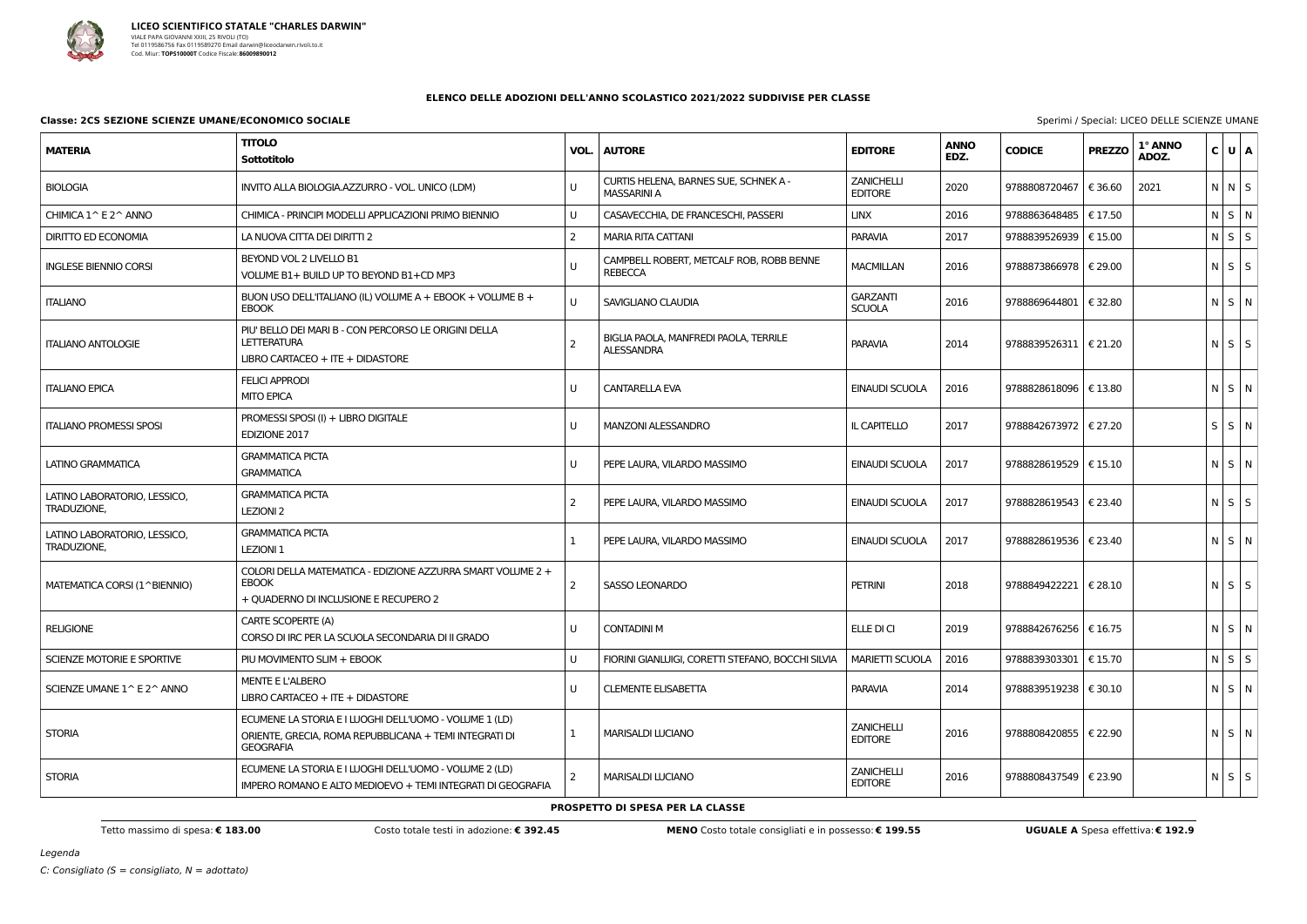

| Sperimi / Special: LICEO DELLE SCIENZE UMANE |  |  |
|----------------------------------------------|--|--|
|                                              |  |  |

#### **ELENCO DELLE ADOZIONI DELL'ANNO SCOLASTICO 2021/2022 SUDDIVISE PER CLASSE**

#### **Classe: 2CS SEZIONE SCIENZE UMANE/ECONOMICO SOCIALE** Special: LICEO DELLE Special: LICEO DELLE Special: LICEO DELLE Special: LICEO DELLE Special: LICEO DELLE Special: LICEO DELLE Special: LICEO DELLE Special: LICEO DELLE

| <b>MATERIA</b>                              | <b>TITOLO</b><br>Sottotitolo                                                                                                         | VOL. | <b>AUTORE</b>                                               | <b>EDITORE</b>                      | <b>ANNO</b><br>EDZ. | <b>CODICE</b>                  | <b>PREZZO</b> | 1° ANNO<br>ADOZ. | $C$ $U$ $A$ |  |
|---------------------------------------------|--------------------------------------------------------------------------------------------------------------------------------------|------|-------------------------------------------------------------|-------------------------------------|---------------------|--------------------------------|---------------|------------------|-------------|--|
| <b>BIOLOGIA</b>                             | INVITO ALLA BIOLOGIA.AZZURRO - VOL. UNICO (LDM)                                                                                      | U    | CURTIS HELENA, BARNES SUE, SCHNEK A -<br><b>MASSARINI A</b> | <b>ZANICHELLI</b><br><b>EDITORE</b> | 2020                | 9788808720467                  | € 36.60       | 2021             | N N S       |  |
| CHIMICA 1^ E 2^ ANNO                        | CHIMICA - PRINCIPI MODELLI APPLICAZIONI PRIMO BIENNIO                                                                                | U    | CASAVECCHIA, DE FRANCESCHI, PASSERI                         | <b>LINX</b>                         | 2016                | 9788863648485                  | € 17.50       |                  | N S N       |  |
| <b>DIRITTO ED ECONOMIA</b>                  | LA NUOVA CITTA DEI DIRITTI 2                                                                                                         | 2    | <b>MARIA RITA CATTANI</b>                                   | <b>PARAVIA</b>                      | 2017                | 9788839526939   € 15.00        |               |                  | $N$ $S$ $S$ |  |
| <b>INGLESE BIENNIO CORSI</b>                | BEYOND VOL 2 LIVELLO B1<br>VOLUME B1+ BUILD UP TO BEYOND B1+CD MP3                                                                   |      | CAMPBELL ROBERT, METCALF ROB, ROBB BENNE<br><b>REBECCA</b>  | <b>MACMILLAN</b>                    | 2016                | 9788873866978   € 29.00        |               |                  | $N$ $S$ $S$ |  |
| <b>ITALIANO</b>                             | BUON USO DELL'ITALIANO (IL) VOLUME A + EBOOK + VOLUME B +<br><b>EBOOK</b>                                                            | U    | SAVIGLIANO CLAUDIA                                          | <b>GARZANTI</b><br><b>SCUOLA</b>    | 2016                | 9788869644801   € 32.80        |               |                  | $N$ $S$ $N$ |  |
| <b>ITALIANO ANTOLOGIE</b>                   | PIU' BELLO DEI MARI B - CON PERCORSO LE ORIGINI DELLA<br><b>LETTERATURA</b><br>LIBRO CARTACEO + ITE + DIDASTORE                      |      | BIGLIA PAOLA, MANFREDI PAOLA, TERRILE<br><b>ALESSANDRA</b>  | <b>PARAVIA</b>                      | 2014                | 9788839526311   € 21.20        |               |                  | $N$ $S$ $S$ |  |
| <b>ITALIANO EPICA</b>                       | <b>FELICI APPRODI</b><br><b>MITO EPICA</b>                                                                                           | U    | <b>CANTARELLA EVA</b>                                       | EINAUDI SCUOLA                      | 2016                | 9788828618096   € 13.80        |               |                  | $N$ S $N$   |  |
| <b>ITALIANO PROMESSI SPOSI</b>              | PROMESSI SPOSI (I) + LIBRO DIGITALE<br>EDIZIONE 2017                                                                                 | U    | <b>MANZONI ALESSANDRO</b>                                   | IL CAPITELLO                        | 2017                | 9788842673972   € 27.20        |               |                  | $S$ $S$ $N$ |  |
| LATINO GRAMMATICA                           | <b>GRAMMATICA PICTA</b><br><b>GRAMMATICA</b>                                                                                         | U    | PEPE LAURA, VILARDO MASSIMO                                 | EINAUDI SCUOLA                      | 2017                | 9788828619529   € 15.10        |               |                  | N S N       |  |
| LATINO LABORATORIO, LESSICO,<br>TRADUZIONE, | <b>GRAMMATICA PICTA</b><br><b>LEZIONI 2</b>                                                                                          | -2   | PEPE LAURA, VILARDO MASSIMO                                 | EINAUDI SCUOLA                      | 2017                | 9788828619543   € 23.40        |               |                  | $N$ $S$ $S$ |  |
| LATINO LABORATORIO, LESSICO,<br>TRADUZIONE, | <b>GRAMMATICA PICTA</b><br><b>LEZIONI 1</b>                                                                                          |      | PEPE LAURA, VILARDO MASSIMO                                 | EINAUDI SCUOLA                      | 2017                | 9788828619536   € 23.40        |               |                  | $N$ S $N$   |  |
| MATEMATICA CORSI (1^BIENNIO)                | COLORI DELLA MATEMATICA - EDIZIONE AZZURRA SMART VOLUME 2 +<br><b>EBOOK</b><br>+ QUADERNO DI INCLUSIONE E RECUPERO 2                 | 2    | <b>SASSO LEONARDO</b>                                       | <b>PETRINI</b>                      | 2018                | 9788849422221 $\in$ 28.10      |               |                  | $N$ $S$ $S$ |  |
| <b>RELIGIONE</b>                            | CARTE SCOPERTE (A)<br>CORSO DI IRC PER LA SCUOLA SECONDARIA DI II GRADO                                                              | U    | <b>CONTADINI M</b>                                          | ELLE DI CI                          | 2019                | 9788842676256   € 16.75        |               |                  | N S N       |  |
| SCIENZE MOTORIE E SPORTIVE                  | PIU MOVIMENTO SLIM + EBOOK                                                                                                           | U    | FIORINI GIANLUIGI, CORETTI STEFANO, BOCCHI SILVIA           | <b>MARIETTI SCUOLA</b>              | 2016                | 9788839303301   € 15.70        |               |                  | $N$ $S$ $S$ |  |
| SCIENZE UMANE 1^ E 2^ ANNO                  | MENTE E L'ALBERO<br>$LIBRO$ CARTACEO + ITE + DIDASTORE                                                                               | U    | <b>CLEMENTE ELISABETTA</b>                                  | PARAVIA                             | 2014                | 9788839519238 $\epsilon$ 30.10 |               |                  | N S N       |  |
| <b>STORIA</b>                               | ECUMENE LA STORIA E I LUOGHI DELL'UOMO - VOLUME 1 (LD)<br>ORIENTE, GRECIA, ROMA REPUBBLICANA + TEMI INTEGRATI DI<br><b>GEOGRAFIA</b> | -1   | MARISALDI LUCIANO                                           | <b>ZANICHELLI</b><br><b>EDITORE</b> | 2016                | 9788808420855   € 22.90        |               |                  | N S N       |  |
| <b>STORIA</b>                               | ECUMENE LA STORIA E I LUOGHI DELL'UOMO - VOLUME 2 (LD)<br>IMPERO ROMANO E ALTO MEDIOEVO + TEMI INTEGRATI DI GEOGRAFIA                |      | <b>MARISALDI LUCIANO</b>                                    | ZANICHELLI<br><b>EDITORE</b>        | 2016                | 9788808437549   € 23.90        |               |                  | $N$ $S$ $S$ |  |

**PROSPETTO DI SPESA PER LA CLASSE**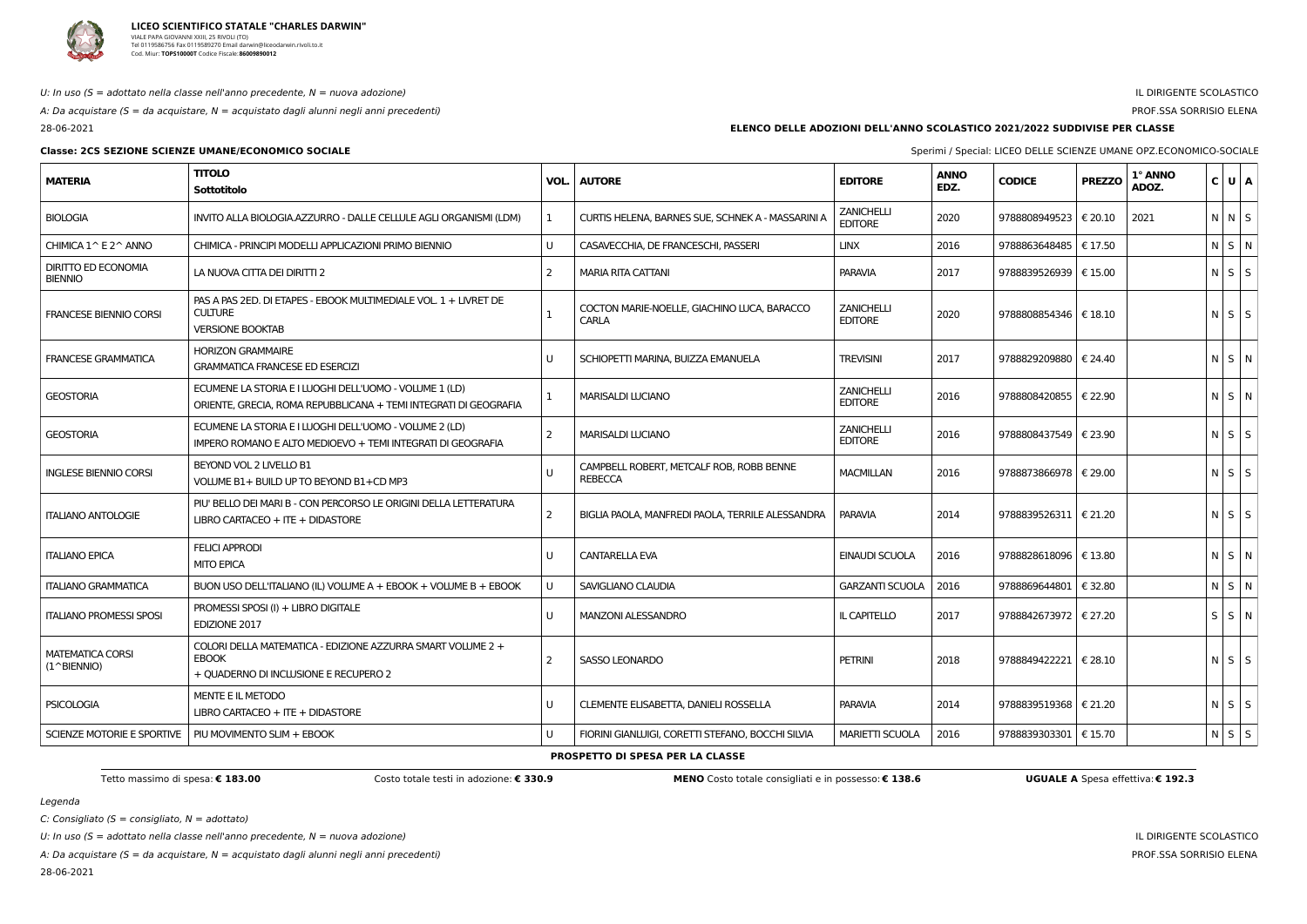

#### U: In uso ( $S =$  adottato nella classe nell'anno precedente,  $N =$  nuova adozione)

A: Da acquistare ( $S = da$  acquistare,  $N = ac$ quistato dagli alunni negli anni precedenti)

28-06-2021

### IL DIRIGENTE SCOLASTICO

### PROF.SSA SORRISIO ELENA

#### **Classe: 2CS SEZIONE SCIENZE UMANE/ECONOMICO SOCIALE** Sperimi / Special: LICEO DELLE SCIENZE UMANE OPZ.ECONOMICO-SOCIALE

Legenda

C: Consigliato ( $S =$  consigliato,  $N =$  adottato)

U: In uso ( $S =$  adottato nella classe nell'anno precedente,  $N =$  nuova adozione)

A: Da acquistare (S = da acquistare,  $N =$  acquistato dagli alunni negli anni precedenti)

28-06-2021

**ELENCO DELLE ADOZIONI DELL'ANNO SCOLASTICO 2021/2022 SUDDIVISE PER CLASSE**

| <b>MATERIA</b>                               | <b>TITOLO</b><br>Sottotitolo                                                                                               | VOL.           | <b>AUTORE</b>                                               | <b>EDITORE</b>                      | <b>ANNO</b><br>EDZ. | <b>CODICE</b>           | <b>PREZZO</b> | 1° ANNO<br>ADOZ. | C U A       |
|----------------------------------------------|----------------------------------------------------------------------------------------------------------------------------|----------------|-------------------------------------------------------------|-------------------------------------|---------------------|-------------------------|---------------|------------------|-------------|
| <b>BIOLOGIA</b>                              | INVITO ALLA BIOLOGIA.AZZURRO - DALLE CELLULE AGLI ORGANISMI (LDM)                                                          | 1              | CURTIS HELENA, BARNES SUE, SCHNEK A - MASSARINI A           | <b>ZANICHELLI</b><br><b>EDITORE</b> | 2020                | 9788808949523   € 20.10 |               | 2021             | N N S       |
| CHIMICA 1^ E 2^ ANNO                         | CHIMICA - PRINCIPI MODELLI APPLICAZIONI PRIMO BIENNIO                                                                      | U              | CASAVECCHIA, DE FRANCESCHI, PASSERI                         | <b>LINX</b>                         | 2016                | 9788863648485   € 17.50 |               |                  | N S N       |
| <b>DIRITTO ED ECONOMIA</b><br><b>BIENNIO</b> | LA NUOVA CITTA DEI DIRITTI 2                                                                                               | $\overline{2}$ | <b>MARIA RITA CATTANI</b>                                   | <b>PARAVIA</b>                      | 2017                | 9788839526939   € 15.00 |               |                  | $N$ $S$ $S$ |
| <b>FRANCESE BIENNIO CORSI</b>                | PAS A PAS 2ED. DI ETAPES - EBOOK MULTIMEDIALE VOL. 1 + LIVRET DE<br><b>CULTURE</b><br><b>VERSIONE BOOKTAB</b>              |                | COCTON MARIE-NOELLE, GIACHINO LUCA, BARACCO<br><b>CARLA</b> | <b>ZANICHELLI</b><br><b>EDITORE</b> | 2020                | 9788808854346   € 18.10 |               |                  | $N$ $S$ $S$ |
| <b>FRANCESE GRAMMATICA</b>                   | <b>HORIZON GRAMMAIRE</b><br><b>GRAMMATICA FRANCESE ED ESERCIZI</b>                                                         | U              | SCHIOPETTI MARINA, BUIZZA EMANUELA                          | <b>TREVISINI</b>                    | 2017                | 9788829209880   € 24.40 |               |                  | $N$ $S$ $N$ |
| <b>GEOSTORIA</b>                             | ECUMENE LA STORIA E I LUOGHI DELL'UOMO - VOLUME 1 (LD)<br>ORIENTE, GRECIA, ROMA REPUBBLICANA + TEMI INTEGRATI DI GEOGRAFIA |                | <b>MARISALDI LUCIANO</b>                                    | <b>ZANICHELLI</b><br><b>EDITORE</b> | 2016                | 9788808420855   € 22.90 |               |                  | $N$ $S$ $N$ |
| <b>GEOSTORIA</b>                             | ECUMENE LA STORIA E I LUOGHI DELL'UOMO - VOLUME 2 (LD)<br>IMPERO ROMANO E ALTO MEDIOEVO + TEMI INTEGRATI DI GEOGRAFIA      | 2              | <b>MARISALDI LUCIANO</b>                                    | <b>ZANICHELLI</b><br><b>EDITORE</b> | 2016                | 9788808437549   € 23.90 |               |                  | $N$ $S$ $S$ |
| <b>INGLESE BIENNIO CORSI</b>                 | BEYOND VOL 2 LIVELLO B1<br>VOLUME B1+ BUILD UP TO BEYOND B1+CD MP3                                                         |                | CAMPBELL ROBERT, METCALF ROB, ROBB BENNE<br><b>REBECCA</b>  | <b>MACMILLAN</b>                    | 2016                | 9788873866978   € 29.00 |               |                  | $N$ $S$ $S$ |
| <b>ITALIANO ANTOLOGIE</b>                    | PIU' BELLO DEI MARI B - CON PERCORSO LE ORIGINI DELLA LETTERATURA<br>LIBRO CARTACEO + ITE + DIDASTORE                      | $\overline{2}$ | BIGLIA PAOLA, MANFREDI PAOLA, TERRILE ALESSANDRA            | <b>PARAVIA</b>                      | 2014                | 9788839526311   € 21.20 |               |                  | $N$ $S$ $S$ |
| <b>ITALIANO EPICA</b>                        | <b>FELICI APPRODI</b><br><b>MITO EPICA</b>                                                                                 | $\cup$         | <b>CANTARELLA EVA</b>                                       | EINAUDI SCUOLA                      | 2016                | 9788828618096   € 13.80 |               |                  | $N$ $S$ $N$ |
| <b>ITALIANO GRAMMATICA</b>                   | BUON USO DELL'ITALIANO (IL) VOLUME A + EBOOK + VOLUME B + EBOOK                                                            | U              | SAVIGLIANO CLAUDIA                                          | <b>GARZANTI SCUOLA</b>              | 2016                | 9788869644801           | € 32.80       |                  | $N$ $S$ $N$ |
| <b>ITALIANO PROMESSI SPOSI</b>               | PROMESSI SPOSI (I) + LIBRO DIGITALE<br>EDIZIONE 2017                                                                       | U              | <b>MANZONI ALESSANDRO</b>                                   | IL CAPITELLO                        | 2017                | 9788842673972   € 27.20 |               |                  | $S$ $S$ $N$ |
| MATEMATICA CORSI<br>$(1^{\wedge}BIFNNIO)$    | COLORI DELLA MATEMATICA - EDIZIONE AZZURRA SMART VOLUME 2 +<br><b>EBOOK</b><br>+ QUADERNO DI INCLUSIONE E RECUPERO 2       | -2             | <b>SASSO LEONARDO</b>                                       | <b>PETRINI</b>                      | 2018                | 9788849422221 € 28.10   |               |                  | $N$ $S$ $S$ |
| <b>PSICOLOGIA</b>                            | MENTE E IL METODO<br>LIBRO CARTACEO + ITE + DIDASTORE                                                                      | U              | CLEMENTE ELISABETTA, DANIELI ROSSELLA                       | <b>PARAVIA</b>                      | 2014                | 9788839519368   € 21.20 |               |                  | $N$ $S$ $S$ |
| SCIENZE MOTORIE E SPORTIVE                   | PIU MOVIMENTO SLIM + EBOOK                                                                                                 | U              | FIORINI GIANLUIGI, CORETTI STEFANO, BOCCHI SILVIA           | <b>MARIETTI SCUOLA</b>              | 2016                | 9788839303301   € 15.70 |               |                  | $N$ $S$ $S$ |

#### **PROSPETTO DI SPESA PER LA CLASSE**

Tetto massimo di spesa: € 183.00 Costo totale testi in adozione: € 330.9 MENO Costo totale consigliati e in possesso: € 138.6 UGUALE A Spesa effettiva: € 192.3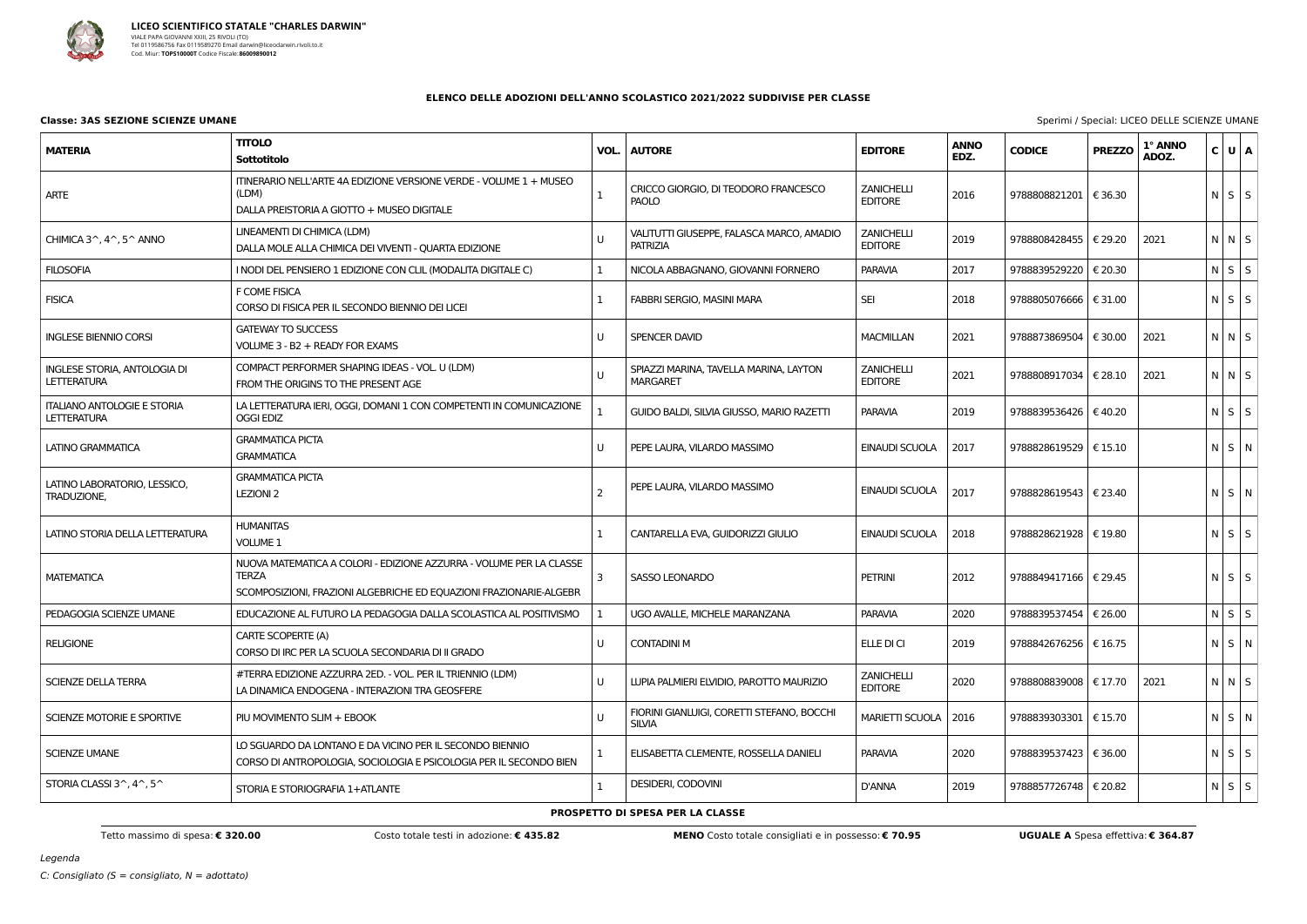

**Classe: 3AS SEZIONE SCIENZE UMANE** Sperimi / Special: LICEO DELLE SCIENZE UMANE

#### **ELENCO DELLE ADOZIONI DELL'ANNO SCOLASTICO 2021/2022 SUDDIVISE PER CLASSE**

| <b>MATERIA</b>                                            | <b>TITOLO</b><br>Sottotitolo                                                                                                                              |                          | <b>VOL.   AUTORE</b>                                      | <b>EDITORE</b>                      | <b>ANNO</b><br>EDZ. | <b>CODICE</b>           | <b>PREZZO</b>    | 1° ANNO<br>ADOZ. | C U A       |  |
|-----------------------------------------------------------|-----------------------------------------------------------------------------------------------------------------------------------------------------------|--------------------------|-----------------------------------------------------------|-------------------------------------|---------------------|-------------------------|------------------|------------------|-------------|--|
| <b>ARTE</b>                                               | ITINERARIO NELL'ARTE 4A EDIZIONE VERSIONE VERDE - VOLUME 1 + MUSEO<br>(LDM)<br>DALLA PREISTORIA A GIOTTO + MUSEO DIGITALE                                 | 1                        | CRICCO GIORGIO, DI TEODORO FRANCESCO<br>PAOLO             | <b>ZANICHELLI</b><br><b>EDITORE</b> | 2016                | 9788808821201           | $\epsilon$ 36.30 |                  | $N$ $S$ $S$ |  |
| CHIMICA $3^{\wedge}$ , $4^{\wedge}$ , $5^{\wedge}$ ANNO   | LINEAMENTI DI CHIMICA (LDM)<br>DALLA MOLE ALLA CHIMICA DEI VIVENTI - QUARTA EDIZIONE                                                                      |                          | VALITUTTI GIUSEPPE, FALASCA MARCO, AMADIO<br>PATRIZIA     | <b>ZANICHELLI</b><br><b>EDITORE</b> | 2019                | 9788808428455   € 29.20 |                  | 2021             | NNS         |  |
| <b>FILOSOFIA</b>                                          | I NODI DEL PENSIERO 1 EDIZIONE CON CLIL (MODALITA DIGITALE C)                                                                                             | 1                        | NICOLA ABBAGNANO, GIOVANNI FORNERO                        | <b>PARAVIA</b>                      | 2017                | 9788839529220 € 20.30   |                  |                  | $N$ $S$ $S$ |  |
| <b>FISICA</b>                                             | F COME FISICA<br>CORSO DI FISICA PER IL SECONDO BIENNIO DEI LICEI                                                                                         | 1                        | <b>FABBRI SERGIO, MASINI MARA</b>                         | <b>SEI</b>                          | 2018                | 9788805076666   € 31.00 |                  |                  | $N$ $S$ $S$ |  |
| <b>INGLESE BIENNIO CORSI</b>                              | <b>GATEWAY TO SUCCESS</b><br>VOLUME 3 - B2 + READY FOR EXAMS                                                                                              | U                        | SPENCER DAVID                                             | <b>MACMILLAN</b>                    | 2021                | 9788873869504   € 30.00 |                  | 2021             | NNS         |  |
| <b>INGLESE STORIA, ANTOLOGIA DI</b><br><b>LETTERATURA</b> | COMPACT PERFORMER SHAPING IDEAS - VOL. U (LDM)<br>FROM THE ORIGINS TO THE PRESENT AGE                                                                     | U                        | SPIAZZI MARINA, TAVELLA MARINA, LAYTON<br><b>MARGARET</b> | <b>ZANICHELLI</b><br><b>EDITORE</b> | 2021                | 9788808917034   € 28.10 |                  | 2021             | NNS         |  |
| <b>ITALIANO ANTOLOGIE E STORIA</b><br><b>LETTERATURA</b>  | LA LETTERATURA IERI, OGGI, DOMANI 1 CON COMPETENTI IN COMUNICAZIONE<br><b>OGGI EDIZ</b>                                                                   |                          | GUIDO BALDI, SILVIA GIUSSO, MARIO RAZETTI                 | PARAVIA                             | 2019                | 9788839536426   € 40.20 |                  |                  | $N$ $S$ $S$ |  |
| LATINO GRAMMATICA                                         | <b>GRAMMATICA PICTA</b><br><b>GRAMMATICA</b>                                                                                                              | U                        | PEPE LAURA, VILARDO MASSIMO                               | EINAUDI SCUOLA                      | 2017                | 9788828619529   € 15.10 |                  |                  | $N$ $S$ $N$ |  |
| LATINO LABORATORIO, LESSICO,<br>TRADUZIONE,               | <b>GRAMMATICA PICTA</b><br>LEZIONI <sub>2</sub>                                                                                                           | $\overline{\phantom{0}}$ | PEPE LAURA, VILARDO MASSIMO                               | EINAUDI SCUOLA                      | 2017                | 9788828619543   € 23.40 |                  |                  | $N$ $S$ $N$ |  |
| LATINO STORIA DELLA LETTERATURA                           | <b>HUMANITAS</b><br>VOLUME 1                                                                                                                              |                          | CANTARELLA EVA, GUIDORIZZI GIULIO                         | EINAUDI SCUOLA                      | 2018                | 9788828621928   € 19.80 |                  |                  | $N$ $S$ $S$ |  |
| <b>MATEMATICA</b>                                         | NUOVA MATEMATICA A COLORI - EDIZIONE AZZURRA - VOLUME PER LA CLASSE<br><b>TERZA</b><br>SCOMPOSIZIONI, FRAZIONI ALGEBRICHE ED EQUAZIONI FRAZIONARIE-ALGEBR | 3                        | <b>SASSO LEONARDO</b>                                     | <b>PETRINI</b>                      | 2012                | 9788849417166   € 29.45 |                  |                  | $N$ $S$ $S$ |  |
| PEDAGOGIA SCIENZE UMANE                                   | EDUCAZIONE AL FUTURO LA PEDAGOGIA DALLA SCOLASTICA AL POSITIVISMO                                                                                         |                          | UGO AVALLE, MICHELE MARANZANA                             | <b>PARAVIA</b>                      | 2020                | 9788839537454   € 26.00 |                  |                  | $N$ $S$ $S$ |  |
| <b>RELIGIONE</b>                                          | CARTE SCOPERTE (A)<br>CORSO DI IRC PER LA SCUOLA SECONDARIA DI II GRADO                                                                                   | U                        | <b>CONTADINI M</b>                                        | ELLE DI CI                          | 2019                | 9788842676256   € 16.75 |                  |                  | $N$ $S$ $N$ |  |
| <b>SCIENZE DELLA TERRA</b>                                | #TERRA EDIZIONE AZZURRA 2ED. - VOL. PER IL TRIENNIO (LDM)<br>LA DINAMICA ENDOGENA - INTERAZIONI TRA GEOSFERE                                              | U                        | LUPIA PALMIERI ELVIDIO, PAROTTO MAURIZIO                  | <b>ZANICHELLI</b><br><b>EDITORE</b> | 2020                | 9788808839008   € 17.70 |                  | 2021             | $N$ $N$ $S$ |  |
| SCIENZE MOTORIE E SPORTIVE                                | PIU MOVIMENTO SLIM + EBOOK                                                                                                                                | $\cup$                   | FIORINI GIANLUIGI, CORETTI STEFANO, BOCCHI<br>SILVIA      | MARIETTI SCUOLA   2016              |                     | 9788839303301   € 15.70 |                  |                  | NS N        |  |
| <b>SCIENZE UMANE</b>                                      | LO SGUARDO DA LONTANO E DA VICINO PER IL SECONDO BIENNIO<br>CORSO DI ANTROPOLOGIA, SOCIOLOGIA E PSICOLOGIA PER IL SECONDO BIEN                            |                          | ELISABETTA CLEMENTE, ROSSELLA DANIELI                     | <b>PARAVIA</b>                      | 2020                | 9788839537423   € 36.00 |                  |                  | $N$ $S$ $S$ |  |
| STORIA CLASSI $3^{\wedge}$ , $4^{\wedge}$ , $5^{\wedge}$  | STORIA E STORIOGRAFIA 1+ATLANTE                                                                                                                           | 1                        | DESIDERI, CODOVINI                                        | <b>D'ANNA</b>                       | 2019                | 9788857726748   € 20.82 |                  |                  | $N$ $S$ $S$ |  |

**PROSPETTO DI SPESA PER LA CLASSE**

Tetto massimo di spesa: € 320.00 Costo vale testi in adozione: € 435.82 MENO Costo totale consigliati e in possesso: € 70.95 UGUALE A Spesa effettiva: € 364.87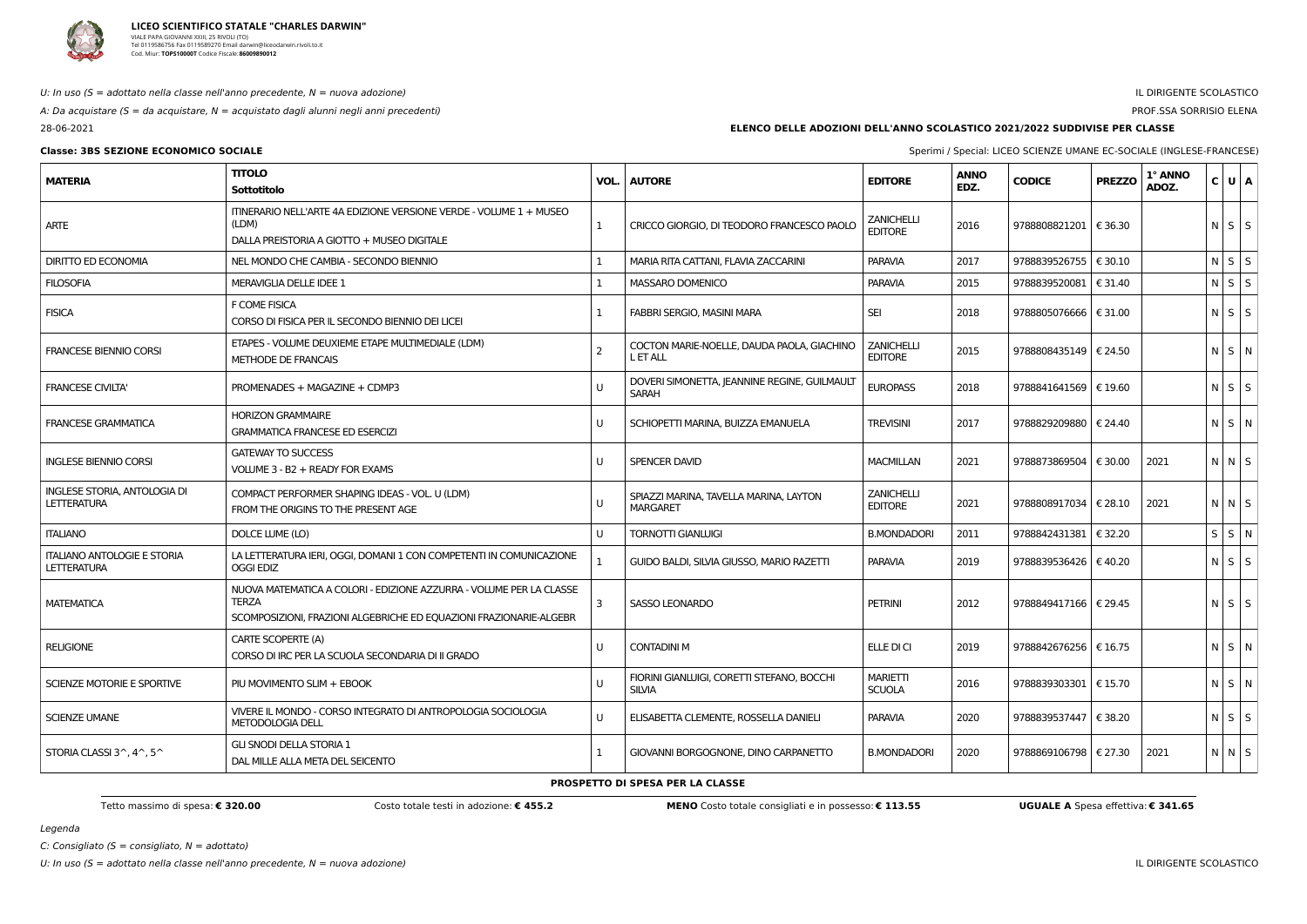

#### U: In uso ( $S =$  adottato nella classe nell'anno precedente,  $N =$  nuova adozione)

A: Da acquistare ( $S = da$  acquistare,  $N = ac$ quistato dagli alunni negli anni precedenti) 28-06-2021

### IL DIRIGENTE SCOLASTICO

PROF.SSA SORRISIO ELENA

Legenda

C: Consigliato ( $S =$  consigliato,  $N =$  adottato)

U: In uso (S = adottato nella classe nell'anno precedente, N = nuova adozione) in the second state of the second state of the second state of the second state of the DIRIGENTE SCOLASTICO

### **ELENCO DELLE ADOZIONI DELL'ANNO SCOLASTICO 2021/2022 SUDDIVISE PER CLASSE**

| <b>Classe: 3BS SEZIONE ECONOMICO SOCIALE</b>              |                                                                                                                                                           |      |                                                              |                                     |                     | Sperimi / Special: LICEO SCIENZE UMANE EC-SOCIALE (INGLESE-FRANCESE) |               |                  |                   |  |
|-----------------------------------------------------------|-----------------------------------------------------------------------------------------------------------------------------------------------------------|------|--------------------------------------------------------------|-------------------------------------|---------------------|----------------------------------------------------------------------|---------------|------------------|-------------------|--|
| <b>MATERIA</b>                                            | <b>TITOLO</b><br>Sottotitolo                                                                                                                              | VOL. | <b>AUTORE</b>                                                | <b>EDITORE</b>                      | <b>ANNO</b><br>EDZ. | <b>CODICE</b>                                                        | <b>PREZZO</b> | 1° ANNO<br>ADOZ. | C U A             |  |
| ARTE                                                      | ITINERARIO NELL'ARTE 4A EDIZIONE VERSIONE VERDE - VOLUME 1 + MUSEO<br>(LDM)<br>DALLA PREISTORIA A GIOTTO + MUSEO DIGITALE                                 |      | CRICCO GIORGIO, DI TEODORO FRANCESCO PAOLO                   | <b>ZANICHELLI</b><br><b>EDITORE</b> | 2016                | 9788808821201   € 36.30                                              |               |                  | $N$ $S$ $S$       |  |
| <b>DIRITTO ED ECONOMIA</b>                                | NEL MONDO CHE CAMBIA - SECONDO BIENNIO                                                                                                                    |      | MARIA RITA CATTANI, FLAVIA ZACCARINI                         | <b>PARAVIA</b>                      | 2017                | 9788839526755   € 30.10                                              |               |                  | $N$ $S$ $S$       |  |
| <b>FILOSOFIA</b>                                          | MERAVIGLIA DELLE IDEE 1                                                                                                                                   |      | MASSARO DOMENICO                                             | <b>PARAVIA</b>                      | 2015                | 9788839520081   € 31.40                                              |               |                  | $N$ $S$ $S$       |  |
| <b>FISICA</b>                                             | F COME FISICA<br>CORSO DI FISICA PER IL SECONDO BIENNIO DEI LICEI                                                                                         |      | <b>FABBRI SERGIO, MASINI MARA</b>                            | <b>SEI</b>                          | 2018                | 9788805076666   € 31.00                                              |               |                  | $N$ $S$ $S$       |  |
| <b>FRANCESE BIENNIO CORSI</b>                             | ETAPES - VOLUME DEUXIEME ETAPE MULTIMEDIALE (LDM)<br>METHODE DE FRANCAIS                                                                                  |      | COCTON MARIE-NOELLE, DAUDA PAOLA, GIACHINO<br>L ET ALL       | <b>ZANICHELLI</b><br><b>EDITORE</b> | 2015                | 9788808435149   € 24.50                                              |               |                  | $N$ $S$ $N$       |  |
| <b>FRANCESE CIVILTA'</b>                                  | PROMENADES + MAGAZINE + CDMP3                                                                                                                             | U    | DOVERI SIMONETTA, JEANNINE REGINE, GUILMAULT<br><b>SARAH</b> | <b>EUROPASS</b>                     | 2018                | 9788841641569   € 19.60                                              |               |                  | $N \mid S \mid S$ |  |
| <b>FRANCESE GRAMMATICA</b>                                | <b>HORIZON GRAMMAIRE</b><br><b>GRAMMATICA FRANCESE ED ESERCIZI</b>                                                                                        | U    | SCHIOPETTI MARINA, BUIZZA EMANUELA                           | <b>TREVISINI</b>                    | 2017                | 9788829209880   € 24.40                                              |               |                  | N S N             |  |
| <b>INGLESE BIENNIO CORSI</b>                              | <b>GATEWAY TO SUCCESS</b><br>VOLUME 3 - B2 + READY FOR EXAMS                                                                                              | U    | SPENCER DAVID                                                | <b>MACMILLAN</b>                    | 2021                | 9788873869504   € 30.00                                              |               | 2021             | $N$ $N$ $S$       |  |
| <b>INGLESE STORIA, ANTOLOGIA DI</b><br><b>LETTERATURA</b> | COMPACT PERFORMER SHAPING IDEAS - VOL. U (LDM)<br>FROM THE ORIGINS TO THE PRESENT AGE                                                                     | U    | SPIAZZI MARINA, TAVELLA MARINA, LAYTON<br><b>MARGARET</b>    | <b>ZANICHELLI</b><br><b>EDITORE</b> | 2021                | 9788808917034   € 28.10                                              |               | 2021             | $N$ $N$ $S$       |  |
| <b>ITALIANO</b>                                           | DOLCE LUME (LO)                                                                                                                                           | U    | <b>TORNOTTI GIANLUIGI</b>                                    | <b>B.MONDADORI</b>                  | 2011                | 9788842431381   € 32.20                                              |               |                  | $S \mid S \mid N$ |  |
| <b>ITALIANO ANTOLOGIE E STORIA</b><br><b>LETTERATURA</b>  | LA LETTERATURA IERI, OGGI, DOMANI 1 CON COMPETENTI IN COMUNICAZIONE<br><b>OGGI EDIZ</b>                                                                   |      | GUIDO BALDI, SILVIA GIUSSO, MARIO RAZETTI                    | <b>PARAVIA</b>                      | 2019                | 9788839536426 € 40.20                                                |               |                  | $N$ $S$ $S$       |  |
| <b>MATEMATICA</b>                                         | NUOVA MATEMATICA A COLORI - EDIZIONE AZZURRA - VOLUME PER LA CLASSE<br><b>TERZA</b><br>SCOMPOSIZIONI, FRAZIONI ALGEBRICHE ED EQUAZIONI FRAZIONARIE-ALGEBR | 3    | <b>SASSO LEONARDO</b>                                        | <b>PETRINI</b>                      | 2012                | 9788849417166   € 29.45                                              |               |                  | $N \mid S \mid S$ |  |
| <b>RELIGIONE</b>                                          | CARTE SCOPERTE (A)<br>CORSO DI IRC PER LA SCUOLA SECONDARIA DI II GRADO                                                                                   | U    | <b>CONTADINI M</b>                                           | ELLE DI CI                          | 2019                | 9788842676256   € 16.75                                              |               |                  | $N$ $S$ $N$       |  |
| SCIENZE MOTORIE E SPORTIVE                                | PIU MOVIMENTO SLIM + EBOOK                                                                                                                                | U    | FIORINI GIANLUIGI, CORETTI STEFANO, BOCCHI<br><b>SILVIA</b>  | <b>MARIETTI</b><br><b>SCUOLA</b>    | 2016                | 9788839303301   € 15.70                                              |               |                  | $N$ $S$ $N$       |  |
| <b>SCIENZE UMANE</b>                                      | VIVERE IL MONDO - CORSO INTEGRATO DI ANTROPOLOGIA SOCIOLOGIA<br>METODOLOGIA DELL                                                                          | U    | ELISABETTA CLEMENTE, ROSSELLA DANIELI                        | <b>PARAVIA</b>                      | 2020                | 9788839537447   € 38.20                                              |               |                  | $N$ $S$ $S$       |  |
| STORIA CLASSI 3^, 4^, 5^                                  | <b>GLI SNODI DELLA STORIA 1</b><br>DAL MILLE ALLA META DEL SEICENTO                                                                                       |      | GIOVANNI BORGOGNONE, DINO CARPANETTO                         | <b>B.MONDADORI</b>                  | 2020                | 9788869106798   € 27.30                                              |               | 2021             | $N$ $N$ $S$       |  |
|                                                           |                                                                                                                                                           |      | <b>PROSPETTO DI SPESA PER LA CLASSE</b>                      |                                     |                     |                                                                      |               |                  |                   |  |

Tetto massimo di spesa: € 320.00 Costo totale testi in adozione: € 455.2 MENO Costo totale consigliati e in possesso: € 113.55 UGUALE A Spesa effettiva: € 341.65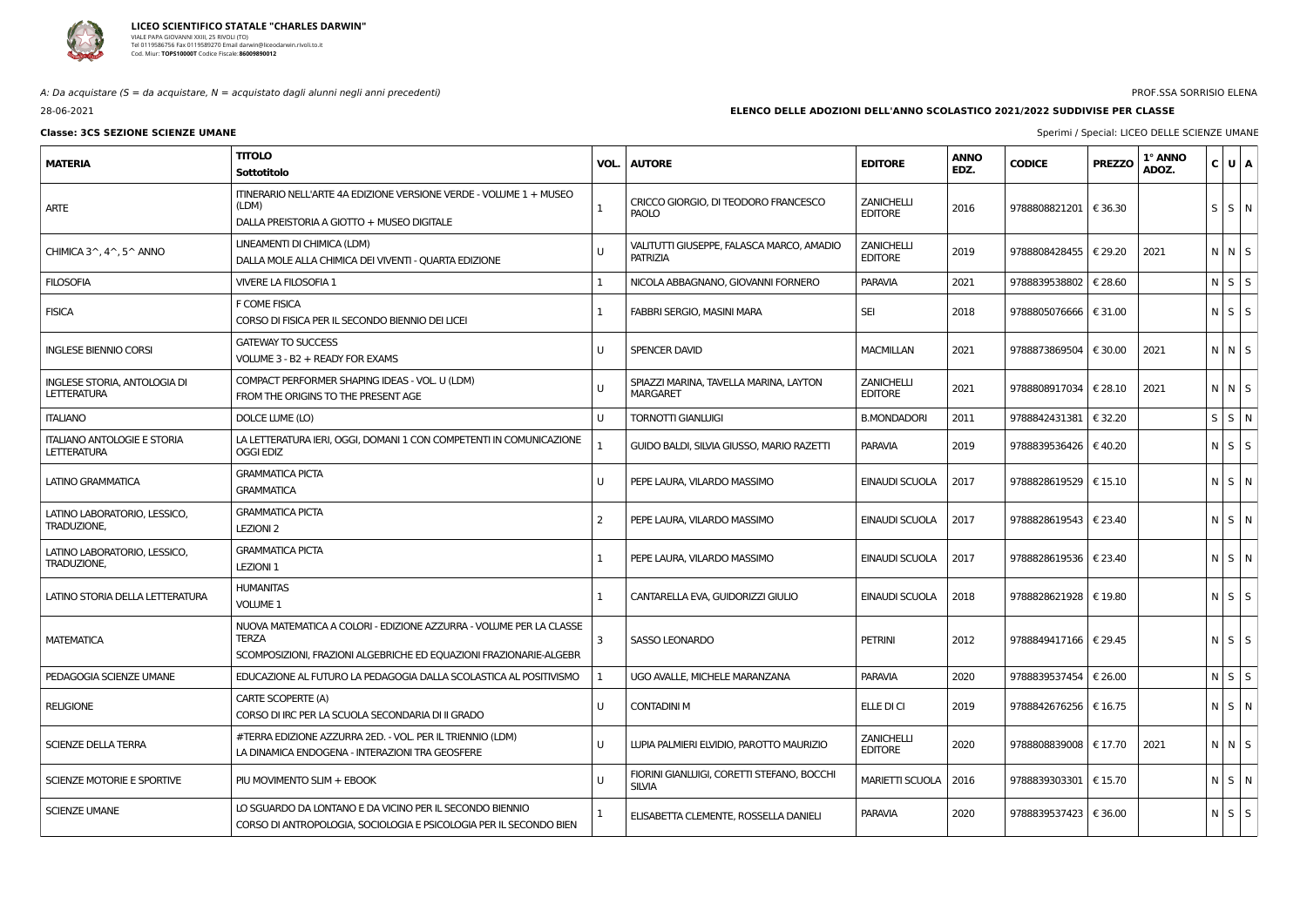

A: Da acquistare (S = da acquistare,  $N =$  acquistato dagli alunni negli anni precedenti)

28-06-2021

### PROF.SSA SORRISIO ELENA

**Classe: 3CS SEZIONE SCIENZE UMANE** Sperimi / Special: LICEO DELLE SCIENZE UMANE

### **ELENCO DELLE ADOZIONI DELL'ANNO SCOLASTICO 2021/2022 SUDDIVISE PER CLASSE**

| <b>MATERIA</b>                                           | <b>TITOLO</b><br>Sottotitolo                                                                                                                              |              | <b>VOL.   AUTORE</b>                                         | <b>EDITORE</b>                      | <b>ANNO</b><br>EDZ. | <b>CODICE</b>           | <b>PREZZO</b> | 1° ANNO<br>ADOZ. | C U A             |  |
|----------------------------------------------------------|-----------------------------------------------------------------------------------------------------------------------------------------------------------|--------------|--------------------------------------------------------------|-------------------------------------|---------------------|-------------------------|---------------|------------------|-------------------|--|
| <b>ARTE</b>                                              | ITINERARIO NELL'ARTE 4A EDIZIONE VERSIONE VERDE - VOLUME 1 + MUSEO<br>(LDM)<br>DALLA PREISTORIA A GIOTTO + MUSEO DIGITALE                                 | $\mathbf{1}$ | CRICCO GIORGIO, DI TEODORO FRANCESCO<br>PAOLO                | <b>ZANICHELLI</b><br><b>EDITORE</b> | 2016                | 9788808821201           | € 36.30       |                  | $S \mid S \mid N$ |  |
| CHIMICA $3^{\wedge}$ , $4^{\wedge}$ , $5^{\wedge}$ ANNO  | LINEAMENTI DI CHIMICA (LDM)<br>DALLA MOLE ALLA CHIMICA DEI VIVENTI - QUARTA EDIZIONE                                                                      | $\cup$       | VALITUTTI GIUSEPPE, FALASCA MARCO, AMADIO<br><b>PATRIZIA</b> | <b>ZANICHELLI</b><br><b>EDITORE</b> | 2019                | 9788808428455   € 29.20 |               | 2021             | $N$ $N$ $S$       |  |
| <b>FILOSOFIA</b>                                         | <b>VIVERE LA FILOSOFIA 1</b>                                                                                                                              |              | NICOLA ABBAGNANO, GIOVANNI FORNERO                           | <b>PARAVIA</b>                      | 2021                | 9788839538802   € 28.60 |               |                  | $N$ $S$ $S$       |  |
| <b>FISICA</b>                                            | F COME FISICA<br>CORSO DI FISICA PER IL SECONDO BIENNIO DEI LICEI                                                                                         | 1            | <b>FABBRI SERGIO, MASINI MARA</b>                            | <b>SEI</b>                          | 2018                | 9788805076666   € 31.00 |               |                  | $N$ $S$ $S$       |  |
| <b>INGLESE BIENNIO CORSI</b>                             | <b>GATEWAY TO SUCCESS</b><br>VOLUME 3 - B2 + READY FOR EXAMS                                                                                              | $\mathbf{U}$ | SPENCER DAVID                                                | <b>MACMILLAN</b>                    | 2021                | 9788873869504           | € 30.00       | 2021             | $N$ $N$ $S$       |  |
| INGLESE STORIA, ANTOLOGIA DI<br><b>LETTERATURA</b>       | COMPACT PERFORMER SHAPING IDEAS - VOL. U (LDM)<br>FROM THE ORIGINS TO THE PRESENT AGE                                                                     | $\mathbf{U}$ | SPIAZZI MARINA, TAVELLA MARINA, LAYTON<br><b>MARGARET</b>    | <b>ZANICHELLI</b><br><b>EDITORE</b> | 2021                | 9788808917034   € 28.10 |               | 2021             | N N S             |  |
| <b>ITALIANO</b>                                          | DOLCE LUME (LO)                                                                                                                                           | U            | <b>TORNOTTI GIANLUIGI</b>                                    | <b>B.MONDADORI</b>                  | 2011                | 9788842431381           | € 32.20       |                  | $S$ $S$ $N$       |  |
| <b>ITALIANO ANTOLOGIE E STORIA</b><br><b>LETTERATURA</b> | LA LETTERATURA IERI, OGGI, DOMANI 1 CON COMPETENTI IN COMUNICAZIONE<br><b>OGGI EDIZ</b>                                                                   |              | GUIDO BALDI, SILVIA GIUSSO, MARIO RAZETTI                    | <b>PARAVIA</b>                      | 2019                | 9788839536426   € 40.20 |               |                  | $N$ $S$ $S$       |  |
| LATINO GRAMMATICA                                        | <b>GRAMMATICA PICTA</b><br><b>GRAMMATICA</b>                                                                                                              | $\mathbf{U}$ | PEPE LAURA, VILARDO MASSIMO                                  | <b>EINAUDI SCUOLA</b>               | 2017                | 9788828619529   € 15.10 |               |                  | $N$ $S$ $N$       |  |
| LATINO LABORATORIO, LESSICO,<br>TRADUZIONE,              | <b>GRAMMATICA PICTA</b><br><b>LEZIONI 2</b>                                                                                                               | 2            | PEPE LAURA, VILARDO MASSIMO                                  | EINAUDI SCUOLA                      | 2017                | 9788828619543   € 23.40 |               |                  | $N$ $S$ $N$       |  |
| LATINO LABORATORIO, LESSICO,<br>TRADUZIONE,              | <b>GRAMMATICA PICTA</b><br><b>LEZIONI 1</b>                                                                                                               | $\mathbf{1}$ | PEPE LAURA, VILARDO MASSIMO                                  | EINAUDI SCUOLA                      | 2017                | 9788828619536   € 23.40 |               |                  | $N$ $S$ $N$       |  |
| LATINO STORIA DELLA LETTERATURA                          | <b>HUMANITAS</b><br>VOLUME 1                                                                                                                              | 1            | CANTARELLA EVA, GUIDORIZZI GIULIO                            | EINAUDI SCUOLA                      | 2018                | 9788828621928   € 19.80 |               |                  | $N$ $S$ $S$       |  |
| <b>MATEMATICA</b>                                        | NUOVA MATEMATICA A COLORI - EDIZIONE AZZURRA - VOLUME PER LA CLASSE<br><b>TERZA</b><br>SCOMPOSIZIONI, FRAZIONI ALGEBRICHE ED EQUAZIONI FRAZIONARIE-ALGEBR | 3            | <b>SASSO LEONARDO</b>                                        | <b>PETRINI</b>                      | 2012                | 9788849417166   € 29.45 |               |                  | $N$ $S$ $S$       |  |
| PEDAGOGIA SCIENZE UMANE                                  | EDUCAZIONE AL FUTURO LA PEDAGOGIA DALLA SCOLASTICA AL POSITIVISMO                                                                                         |              | UGO AVALLE, MICHELE MARANZANA                                | <b>PARAVIA</b>                      | 2020                | 9788839537454   € 26.00 |               |                  | $N$ $S$ $S$       |  |
| <b>RELIGIONE</b>                                         | CARTE SCOPERTE (A)<br>CORSO DI IRC PER LA SCUOLA SECONDARIA DI II GRADO                                                                                   | U            | <b>CONTADINI M</b>                                           | ELLE DI CI                          | 2019                | 9788842676256   € 16.75 |               |                  | $N$ $S$ $N$       |  |
| <b>SCIENZE DELLA TERRA</b>                               | #TERRA EDIZIONE AZZURRA 2ED. - VOL. PER IL TRIENNIO (LDM)<br>LA DINAMICA ENDOGENA - INTERAZIONI TRA GEOSFERE                                              | $\mathbf{U}$ | LUPIA PALMIERI ELVIDIO, PAROTTO MAURIZIO                     | <b>ZANICHELLI</b><br><b>EDITORE</b> | 2020                | 9788808839008   € 17.70 |               | 2021             | $N$ $N$ $S$       |  |
| SCIENZE MOTORIE E SPORTIVE                               | PIU MOVIMENTO SLIM + EBOOK                                                                                                                                | U            | FIORINI GIANLUIGI, CORETTI STEFANO, BOCCHI<br><b>SILVIA</b>  | MARIETTI SCUOLA   2016              |                     | 9788839303301   € 15.70 |               |                  | $N \mid S \mid N$ |  |
| <b>SCIENZE UMANE</b>                                     | LO SGUARDO DA LONTANO E DA VICINO PER IL SECONDO BIENNIO<br>CORSO DI ANTROPOLOGIA, SOCIOLOGIA E PSICOLOGIA PER IL SECONDO BIEN                            | $\mathbf{1}$ | ELISABETTA CLEMENTE, ROSSELLA DANIELI                        | <b>PARAVIA</b>                      | 2020                | 9788839537423   € 36.00 |               |                  | $N$ $S$ $S$       |  |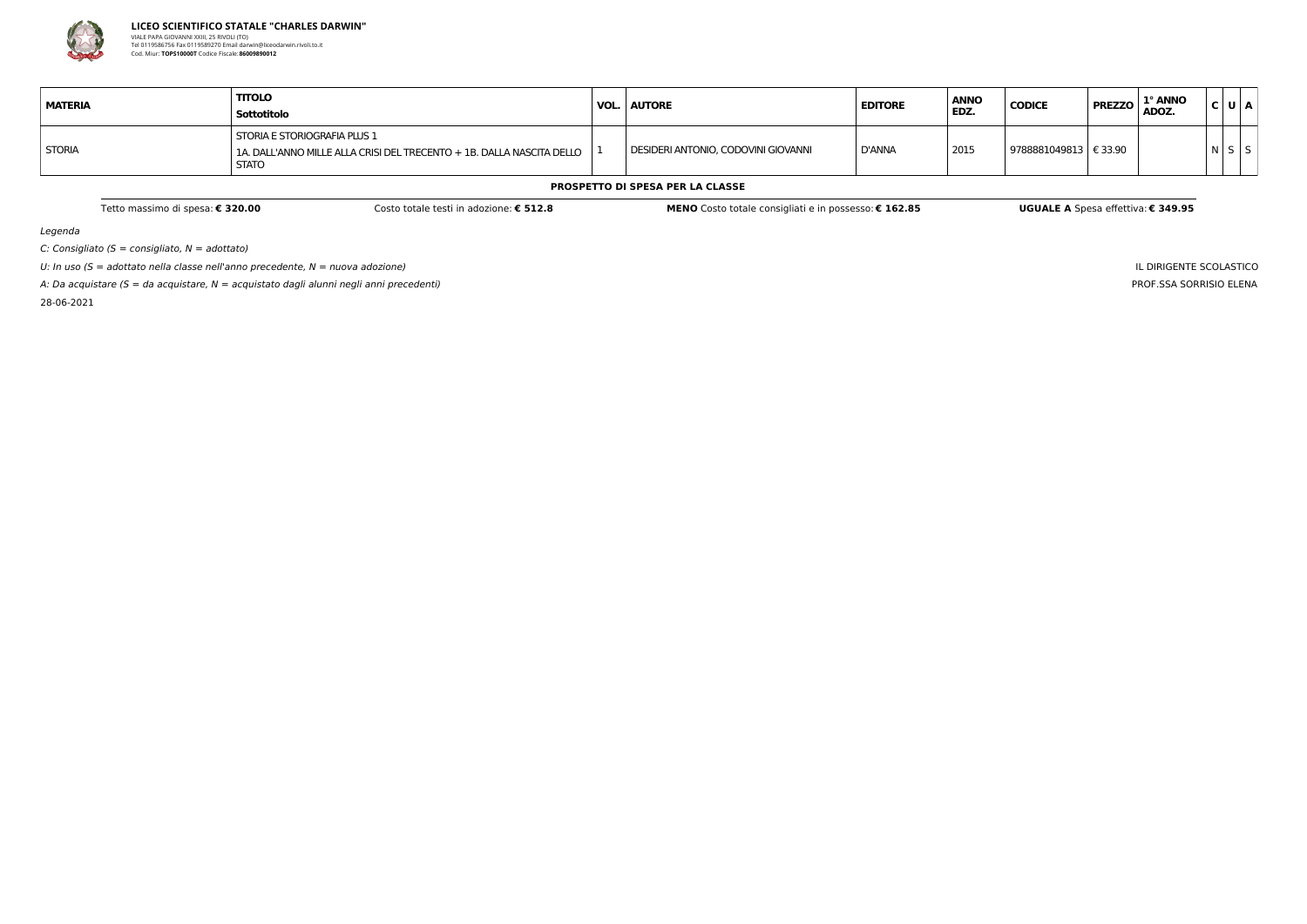

**LICEO SCIENTIFICO STATALE "CHARLES DARWIN"** VIALE PAPA GIOVANNI XXIII, 25 RIVOLI (TO) Tel 0119586756 Fax 0119589270 Email darwin@liceodarwin.rivoli.to.it Cod. Miur: **TOPS10000T** Codice Fiscale:**86009890012**

Legenda

C: Consigliato ( $S =$  consigliato,  $N =$  adottato)

U: In uso ( $S =$  adottato nella classe nell'anno precedente,  $N =$  nuova adozione)

A: Da acquistare ( $S = da$  acquistare,  $N = ac$ quistato dagli alunni negli anni precedenti)

28-06-2021

IL DIRIGENTE SCOLASTICO PROF.SSA SORRISIO ELENA

| <b>MATERIA</b> | <b>TITOLO</b><br>Sottotitolo                                                                                                 | <b>VOL. AUTORE</b>                    | <b>EDITORE</b> | <b>ANNO</b><br><b>EDZ</b> | <b>CODICE</b>           | <b>PREZZO</b> | 1° ANNO<br>ADOZ. | C U A |  |
|----------------|------------------------------------------------------------------------------------------------------------------------------|---------------------------------------|----------------|---------------------------|-------------------------|---------------|------------------|-------|--|
| <b>STORIA</b>  | <b>STORIA E STORIOGRAFIA PLUS 1</b><br>1A. DALL'ANNO MILLE ALLA CRISI DEL TRECENTO + 1B. DALLA NASCITA DELLO<br><b>STATO</b> | I DESIDERI ANTONIO, CODOVINI GIOVANNI | D'ANNA         | 2015                      | 9788881049813   € 33.90 |               |                  |       |  |

#### **PROSPETTO DI SPESA PER LA CLASSE**

Tetto massimo di spesa: € 320.00 Costo MENO Costo totale consigliati e in possesso: € 162.85 UGUALE A Spesa effettiva: € 349.95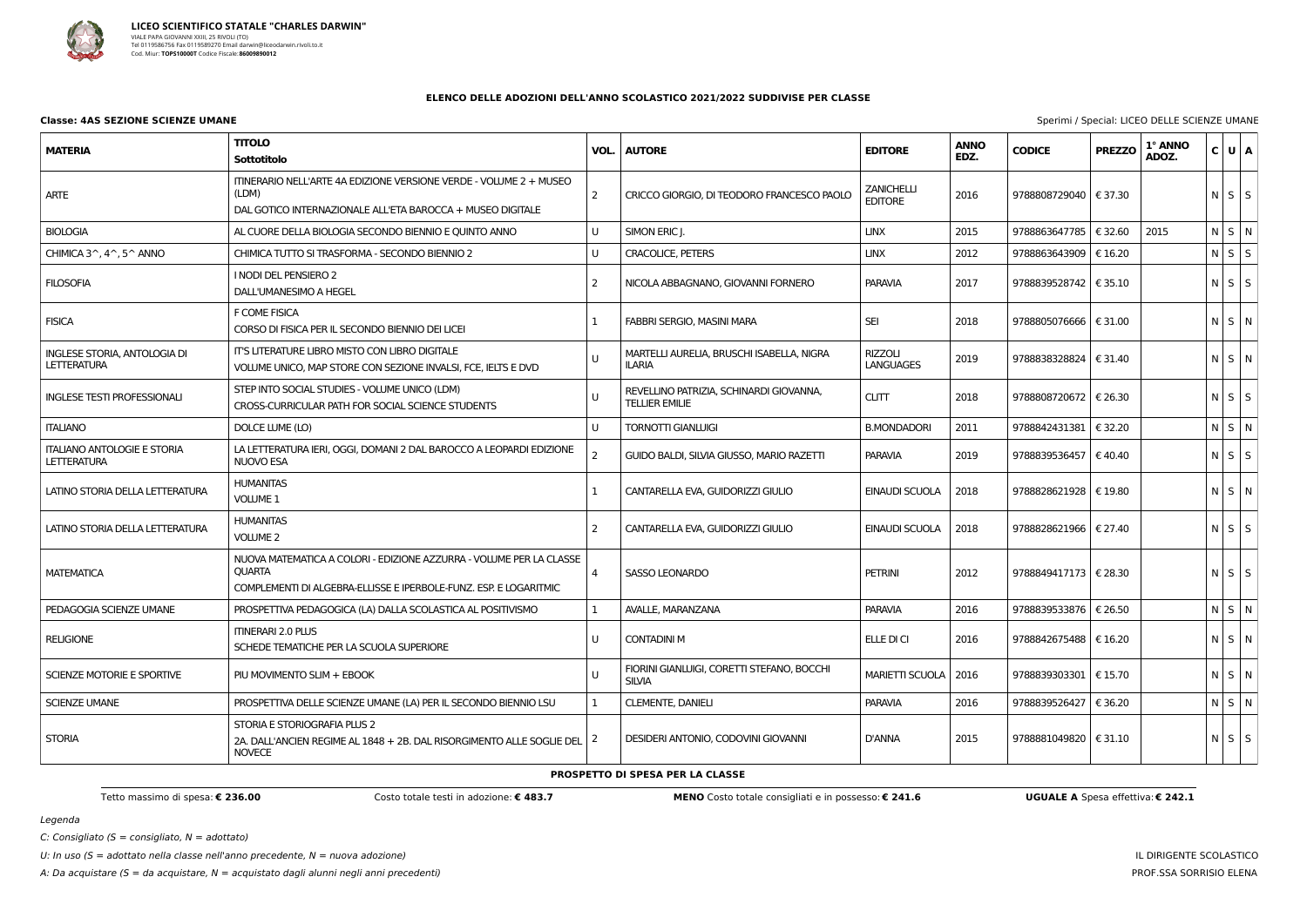

C: Consigliato ( $S =$  consigliato,  $N =$  adottato)

U: In uso ( $S =$  adottato nella classe nell'anno precedente,  $N =$  nuova adozione)

A: Da acquistare ( $S = da$  acquistare,  $N = ac$ quistato dagli alunni negli anni precedenti)

|  |  |  | Sperimi / Special: LICEO DELLE SCIENZE UMANE |  |
|--|--|--|----------------------------------------------|--|
|  |  |  |                                              |  |

#### **ELENCO DELLE ADOZIONI DELL'ANNO SCOLASTICO 2021/2022 SUDDIVISE PER CLASSE**

#### **Classe: 4AS SEZIONE SCIENZE UMANE**

| <b>MATERIA</b>                                            | <b>TITOLO</b><br>Sottotitolo                                                                                                                              | VOL.           | <b>AUTORE</b>                                                    | <b>EDITORE</b>                      | <b>ANNO</b><br>EDZ. | <b>CODICE</b>           | <b>PREZZO</b> | 1° ANNO<br>ADOZ. | C U A             |             |
|-----------------------------------------------------------|-----------------------------------------------------------------------------------------------------------------------------------------------------------|----------------|------------------------------------------------------------------|-------------------------------------|---------------------|-------------------------|---------------|------------------|-------------------|-------------|
| <b>ARTE</b>                                               | ITINERARIO NELL'ARTE 4A EDIZIONE VERSIONE VERDE - VOLUME 2 + MUSEO<br>(LDM)<br>DAL GOTICO INTERNAZIONALE ALL'ETA BAROCCA + MUSEO DIGITALE                 | $\overline{2}$ | CRICCO GIORGIO, DI TEODORO FRANCESCO PAOLO                       | <b>ZANICHELLI</b><br><b>EDITORE</b> | 2016                | 9788808729040   € 37.30 |               |                  |                   | $N$ $S$ $S$ |
| <b>BIOLOGIA</b>                                           | AL CUORE DELLA BIOLOGIA SECONDO BIENNIO E QUINTO ANNO                                                                                                     | U              | SIMON ERIC J.                                                    | <b>LINX</b>                         | 2015                | 9788863647785   € 32.60 |               | 2015             |                   | N S N       |
| CHIMICA 3^, 4^, 5^ ANNO                                   | CHIMICA TUTTO SI TRASFORMA - SECONDO BIENNIO 2                                                                                                            | U              | <b>CRACOLICE, PETERS</b>                                         | <b>LINX</b>                         | 2012                | 9788863643909           | € 16.20       |                  |                   | $N$ $S$ $S$ |
| <b>FILOSOFIA</b>                                          | I NODI DEL PENSIERO 2<br>DALL'UMANESIMO A HEGEL                                                                                                           | $\overline{2}$ | NICOLA ABBAGNANO, GIOVANNI FORNERO                               | <b>PARAVIA</b>                      | 2017                | 9788839528742   € 35.10 |               |                  |                   | $N$ $S$ $S$ |
| <b>FISICA</b>                                             | F COME FISICA<br>CORSO DI FISICA PER IL SECONDO BIENNIO DEI LICEI                                                                                         |                | FABBRI SERGIO, MASINI MARA                                       | <b>SEI</b>                          | 2018                | 9788805076666   € 31.00 |               |                  |                   | N S N       |
| <b>INGLESE STORIA, ANTOLOGIA DI</b><br><b>LETTERATURA</b> | IT'S LITERATURE LIBRO MISTO CON LIBRO DIGITALE<br>VOLUME UNICO, MAP STORE CON SEZIONE INVALSI, FCE, IELTS E DVD                                           | U              | MARTELLI AURELIA, BRUSCHI ISABELLA, NIGRA<br><b>ILARIA</b>       | <b>RIZZOLI</b><br><b>LANGUAGES</b>  | 2019                | 9788838328824   € 31.40 |               |                  | $N$ $S$ $N$       |             |
| <b>INGLESE TESTI PROFESSIONALI</b>                        | STEP INTO SOCIAL STUDIES - VOLUME UNICO (LDM)<br>CROSS-CURRICULAR PATH FOR SOCIAL SCIENCE STUDENTS                                                        | $\mathbf{U}$   | REVELLINO PATRIZIA, SCHINARDI GIOVANNA,<br><b>TELLIER EMILIE</b> | <b>CLITT</b>                        | 2018                | 9788808720672   € 26.30 |               |                  | $N \mid S \mid S$ |             |
| <b>ITALIANO</b>                                           | DOLCE LUME (LO)                                                                                                                                           | U              | <b>TORNOTTI GIANLUIGI</b>                                        | <b>B.MONDADORI</b>                  | 2011                | 9788842431381   € 32.20 |               |                  |                   | N S N       |
| <b>ITALIANO ANTOLOGIE E STORIA</b><br><b>LETTERATURA</b>  | LA LETTERATURA IERI, OGGI, DOMANI 2 DAL BAROCCO A LEOPARDI EDIZIONE<br>NUOVO ESA                                                                          | $\overline{2}$ | GUIDO BALDI, SILVIA GIUSSO, MARIO RAZETTI                        | <b>PARAVIA</b>                      | 2019                | 9788839536457   € 40.40 |               |                  | $N$ $S$ $S$       |             |
| LATINO STORIA DELLA LETTERATURA                           | <b>HUMANITAS</b><br>VOLUME 1                                                                                                                              |                | CANTARELLA EVA, GUIDORIZZI GIULIO                                | EINAUDI SCUOLA                      | 2018                | 9788828621928   € 19.80 |               |                  |                   | N S N       |
| LATINO STORIA DELLA LETTERATURA                           | <b>HUMANITAS</b><br><b>VOLUME 2</b>                                                                                                                       | $\mathcal{P}$  | CANTARELLA EVA, GUIDORIZZI GIULIO                                | EINAUDI SCUOLA                      | 2018                | 9788828621966   € 27.40 |               |                  | $N$ $S$ $S$       |             |
| MATEMATICA                                                | NUOVA MATEMATICA A COLORI - EDIZIONE AZZURRA - VOLUME PER LA CLASSE<br><b>QUARTA</b><br>COMPLEMENTI DI ALGEBRA-ELLISSE E IPERBOLE-FUNZ. ESP. E LOGARITMIC | 4              | <b>SASSO LEONARDO</b>                                            | <b>PETRINI</b>                      | 2012                | 9788849417173   € 28.30 |               |                  | $N$ $S$ $S$       |             |
| PEDAGOGIA SCIENZE UMANE                                   | PROSPETTIVA PEDAGOGICA (LA) DALLA SCOLASTICA AL POSITIVISMO                                                                                               |                | AVALLE, MARANZANA                                                | <b>PARAVIA</b>                      | 2016                | 9788839533876   € 26.50 |               |                  |                   | N S N       |
| <b>RELIGIONE</b>                                          | <b>ITINERARI 2.0 PLUS</b><br>SCHEDE TEMATICHE PER LA SCUOLA SUPERIORE                                                                                     | U              | <b>CONTADINI M</b>                                               | ELLE DI CI                          | 2016                | 9788842675488   € 16.20 |               |                  |                   | N S N       |
| SCIENZE MOTORIE E SPORTIVE                                | PIU MOVIMENTO SLIM + EBOOK                                                                                                                                | U              | FIORINI GIANLUIGI, CORETTI STEFANO, BOCCHI<br><b>SILVIA</b>      | MARIETTI SCUOLA   2016              |                     | 9788839303301   € 15.70 |               |                  | $N$ $S$ $N$       |             |
| <b>SCIENZE UMANE</b>                                      | PROSPETTIVA DELLE SCIENZE UMANE (LA) PER IL SECONDO BIENNIO LSU                                                                                           |                | <b>CLEMENTE, DANIELI</b>                                         | PARAVIA                             | 2016                | 9788839526427           | € 36.20       |                  |                   | N S N       |
| <b>STORIA</b>                                             | STORIA E STORIOGRAFIA PLUS 2<br>2A. DALL'ANCIEN REGIME AL 1848 + 2B. DAL RISORGIMENTO ALLE SOGLIE DEL<br><b>NOVECE</b>                                    | <sup>2</sup>   | DESIDERI ANTONIO, CODOVINI GIOVANNI                              | D'ANNA                              | 2015                | 9788881049820 € 31.10   |               |                  |                   | $N$ $S$ $S$ |
|                                                           |                                                                                                                                                           |                |                                                                  |                                     |                     |                         |               |                  |                   |             |

**PROSPETTO DI SPESA PER LA CLASSE**

Tetto massimo di spesa: € 236.00 Costo MENO Costo totale testi in adozione: € 483.7 MENO Costo totale consigliati e in possesso: € 241.6 UGUALE A Spesa effettiva: € 242.1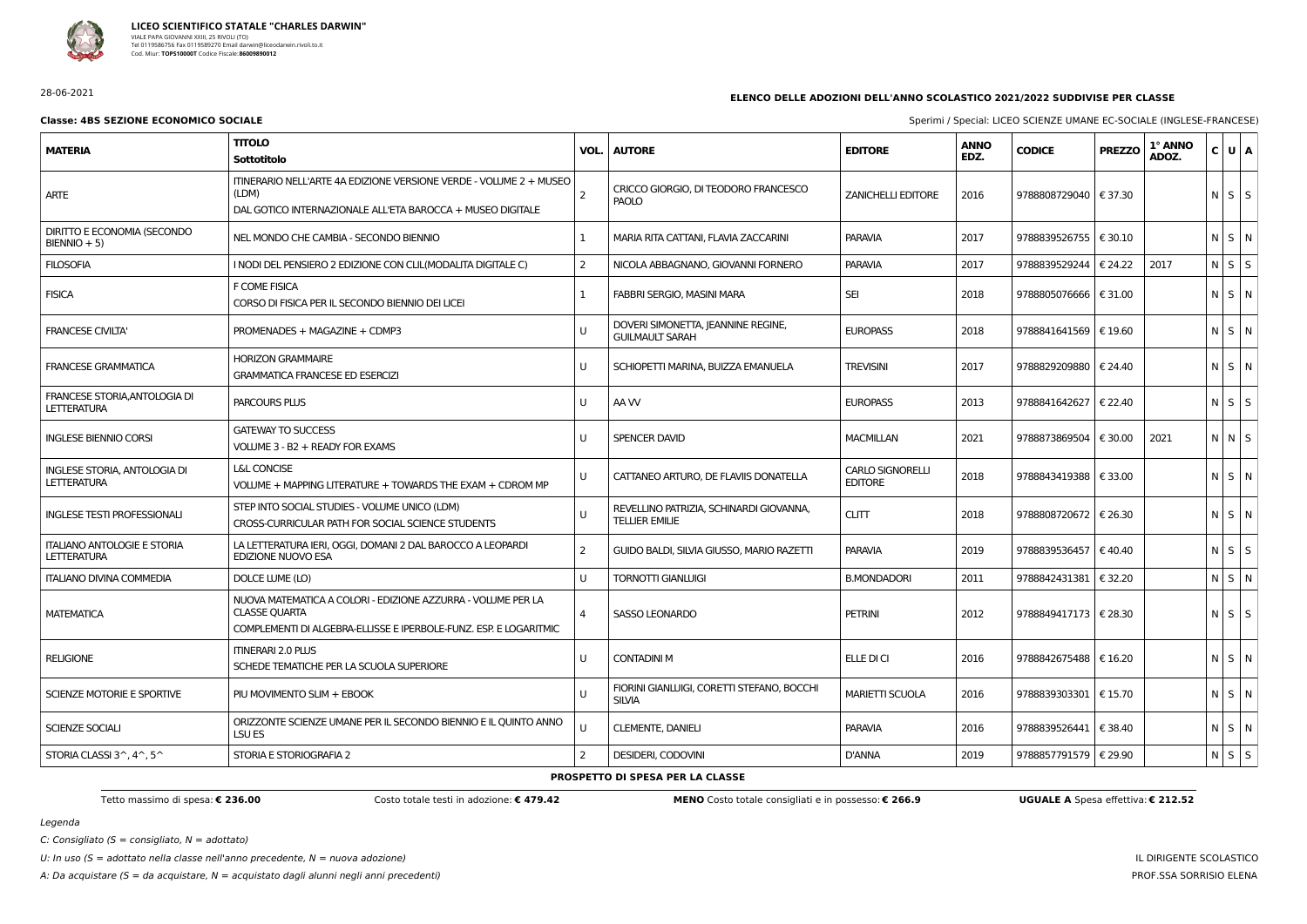

28-06-2021

Legenda

C: Consigliato ( $S =$  consigliato,  $N =$  adottato)

U: In uso ( $S =$  adottato nella classe nell'anno precedente,  $N =$  nuova adozione)

A: Da acquistare (S = da acquistare,  $N =$  acquistato dagli alunni negli anni precedenti)

**Classe: 4BS SEZIONE ECONOMICO SOCIALE** Special: LICEO SCIENZE UMANE EC-SOCIALE (INGLESE-FRANCESE)

### **ELENCO DELLE ADOZIONI DELL'ANNO SCOLASTICO 2021/2022 SUDDIVISE PER CLASSE**

| <b>MATERIA</b>                                             | <b>TITOLO</b><br>Sottotitolo                                                                                                                              | VOL.   | <b>AUTORE</b>                                                    | <b>EDITORE</b>                            | <b>ANNO</b><br>EDZ. | <b>CODICE</b>           | <b>PREZZO</b> | 1° ANNO<br>ADOZ. | C U A       |  |
|------------------------------------------------------------|-----------------------------------------------------------------------------------------------------------------------------------------------------------|--------|------------------------------------------------------------------|-------------------------------------------|---------------------|-------------------------|---------------|------------------|-------------|--|
| <b>ARTE</b>                                                | ITINERARIO NELL'ARTE 4A EDIZIONE VERSIONE VERDE - VOLUME 2 + MUSEO<br>(LDM)<br>DAL GOTICO INTERNAZIONALE ALL'ETA BAROCCA + MUSEO DIGITALE                 |        | CRICCO GIORGIO, DI TEODORO FRANCESCO<br><b>PAOLO</b>             | <b>ZANICHELLI EDITORE</b>                 | 2016                | 9788808729040   € 37.30 |               |                  | $N$ $S$ $S$ |  |
| <b>DIRITTO E ECONOMIA (SECONDO</b><br>$BIENTO + 5)$        | NEL MONDO CHE CAMBIA - SECONDO BIENNIO                                                                                                                    |        | MARIA RITA CATTANI, FLAVIA ZACCARINI                             | <b>PARAVIA</b>                            | 2017                | 9788839526755   € 30.10 |               |                  | N S N       |  |
| <b>FILOSOFIA</b>                                           | I NODI DEL PENSIERO 2 EDIZIONE CON CLIL(MODALITA DIGITALE C)                                                                                              | 2      | NICOLA ABBAGNANO, GIOVANNI FORNERO                               | <b>PARAVIA</b>                            | 2017                | 9788839529244   € 24.22 |               | 2017             | $N$ $S$ $S$ |  |
| <b>FISICA</b>                                              | F COME FISICA<br>CORSO DI FISICA PER IL SECONDO BIENNIO DEI LICEI                                                                                         | -1     | FABBRI SERGIO, MASINI MARA                                       | <b>SEI</b>                                | 2018                | 9788805076666   € 31.00 |               |                  | N S N       |  |
| <b>FRANCESE CIVILTA'</b>                                   | PROMENADES + MAGAZINE + CDMP3                                                                                                                             |        | DOVERI SIMONETTA, JEANNINE REGINE,<br><b>GUILMAULT SARAH</b>     | <b>EUROPASS</b>                           | 2018                | 9788841641569   € 19.60 |               |                  | N S N       |  |
| <b>FRANCESE GRAMMATICA</b>                                 | <b>HORIZON GRAMMAIRE</b><br><b>GRAMMATICA FRANCESE ED ESERCIZI</b>                                                                                        | U      | SCHIOPETTI MARINA, BUIZZA EMANUELA                               | <b>TREVISINI</b>                          | 2017                | 9788829209880   € 24.40 |               |                  | $N$ $S$ $N$ |  |
| <b>FRANCESE STORIA, ANTOLOGIA DI</b><br><b>LETTERATURA</b> | <b>PARCOURS PLUS</b>                                                                                                                                      | U      | AA W                                                             | <b>EUROPASS</b>                           | 2013                | 9788841642627   € 22.40 |               |                  | $N$ $S$ $S$ |  |
| <b>INGLESE BIENNIO CORSI</b>                               | <b>GATEWAY TO SUCCESS</b><br>VOLUME 3 - B2 + READY FOR EXAMS                                                                                              | U      | SPENCER DAVID                                                    | <b>MACMILLAN</b>                          | 2021                | 9788873869504   € 30.00 |               | 2021             | N N S       |  |
| INGLESE STORIA, ANTOLOGIA DI<br><b>LETTERATURA</b>         | <b>L&amp;L CONCISE</b><br>VOLUME + MAPPING LITERATURE + TOWARDS THE EXAM + CDROM MP                                                                       | U      | CATTANEO ARTURO, DE FLAVIIS DONATELLA                            | <b>CARLO SIGNORELLI</b><br><b>EDITORE</b> | 2018                | 9788843419388   € 33.00 |               |                  | N S N       |  |
| <b>INGLESE TESTI PROFESSIONALI</b>                         | STEP INTO SOCIAL STUDIES - VOLUME UNICO (LDM)<br>CROSS-CURRICULAR PATH FOR SOCIAL SCIENCE STUDENTS                                                        |        | REVELLINO PATRIZIA, SCHINARDI GIOVANNA,<br><b>TELLIER EMILIE</b> | <b>CLITT</b>                              | 2018                | 9788808720672   € 26.30 |               |                  | N S N       |  |
| <b>ITALIANO ANTOLOGIE E STORIA</b><br><b>LETTERATURA</b>   | LA LETTERATURA IERI, OGGI, DOMANI 2 DAL BAROCCO A LEOPARDI<br>EDIZIONE NUOVO ESA                                                                          | 2      | GUIDO BALDI, SILVIA GIUSSO, MARIO RAZETTI                        | <b>PARAVIA</b>                            | 2019                | 9788839536457   € 40.40 |               |                  | $N$ $S$ $S$ |  |
| <b>ITALIANO DIVINA COMMEDIA</b>                            | DOLCE LUME (LO)                                                                                                                                           |        | <b>TORNOTTI GIANLUIGI</b>                                        | <b>B.MONDADORI</b>                        | 2011                | 9788842431381   € 32.20 |               |                  | $N$ $S$ $N$ |  |
| <b>MATEMATICA</b>                                          | NUOVA MATEMATICA A COLORI - EDIZIONE AZZURRA - VOLUME PER LA<br><b>CLASSE QUARTA</b><br>COMPLEMENTI DI ALGEBRA-ELLISSE E IPERBOLE-FUNZ. ESP. E LOGARITMIC | 4      | <b>SASSO LEONARDO</b>                                            | <b>PETRINI</b>                            | 2012                | 9788849417173   € 28.30 |               |                  | $N$ $S$ $S$ |  |
| <b>RELIGIONE</b>                                           | <b>ITINERARI 2.0 PLUS</b><br>SCHEDE TEMATICHE PER LA SCUOLA SUPERIORE                                                                                     | U      | <b>CONTADINI M</b>                                               | ELLE DI CI                                | 2016                | 9788842675488   € 16.20 |               |                  | $N$ $S$ $N$ |  |
| SCIENZE MOTORIE E SPORTIVE                                 | PIU MOVIMENTO SLIM + EBOOK                                                                                                                                | U      | FIORINI GIANLUIGI, CORETTI STEFANO, BOCCHI<br><b>SILVIA</b>      | <b>MARIETTI SCUOLA</b>                    | 2016                | 9788839303301   € 15.70 |               |                  | N S N       |  |
| <b>SCIENZE SOCIALI</b>                                     | ORIZZONTE SCIENZE UMANE PER IL SECONDO BIENNIO E IL QUINTO ANNO<br>LSU ES                                                                                 | $\cup$ | CLEMENTE, DANIELI                                                | <b>PARAVIA</b>                            | 2016                | 9788839526441   € 38.40 |               |                  | $N$ $S$ $N$ |  |
| STORIA CLASSI 3^, 4^, 5^                                   | STORIA E STORIOGRAFIA 2                                                                                                                                   | 2      | DESIDERI, CODOVINI                                               | <b>D'ANNA</b>                             | 2019                | 9788857791579   € 29.90 |               |                  | $N$ $S$ $S$ |  |
|                                                            |                                                                                                                                                           |        |                                                                  |                                           |                     |                         |               |                  |             |  |

**PROSPETTO DI SPESA PER LA CLASSE**

Tetto massimo di spesa: € 236.00 Costo totale testi in adozione: € 479.42 MENO Costo totale consigliati e in possesso: € 266.9 UGUALE A Spesa effettiva: € 212.52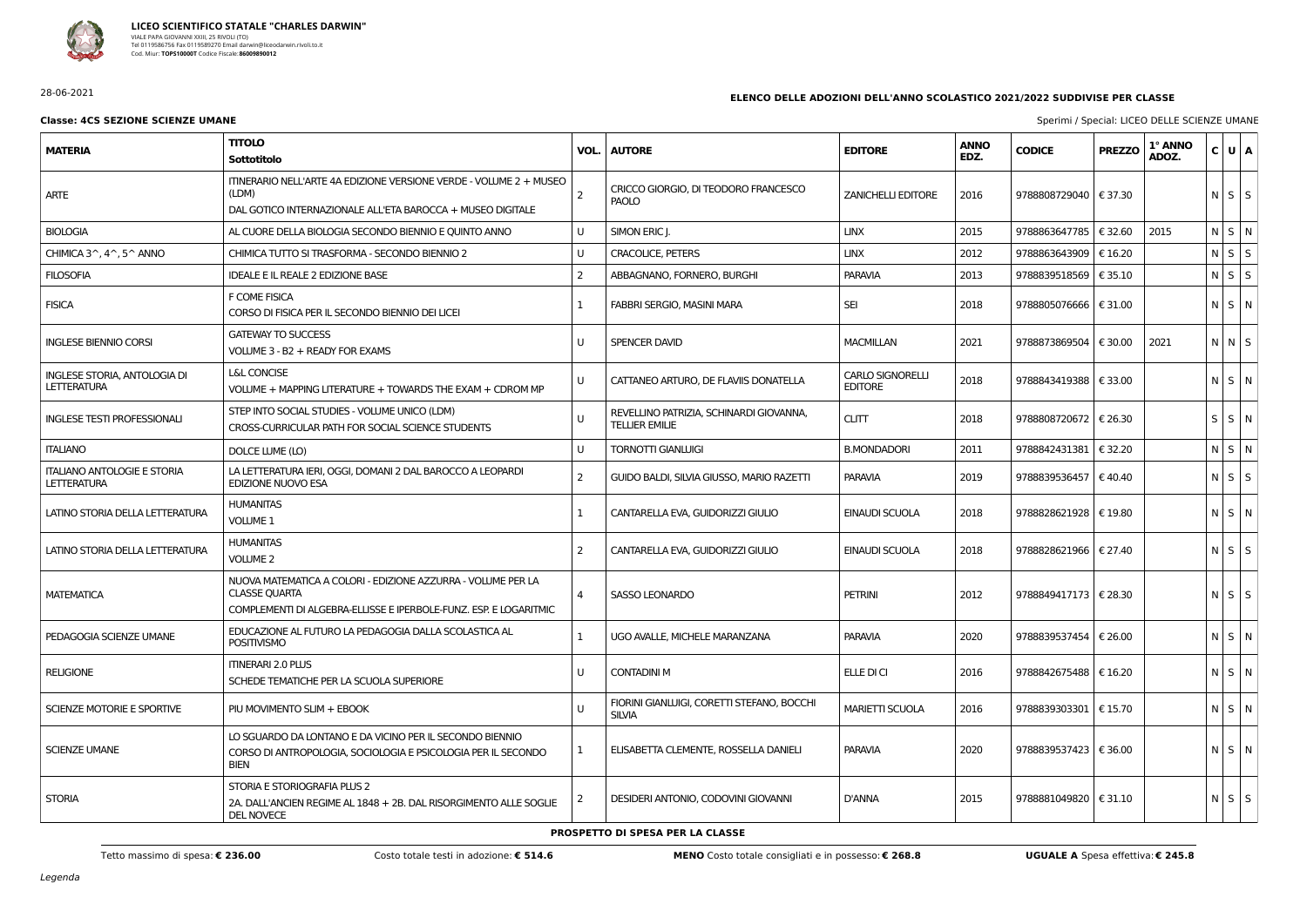

28-06-2021

**Classe: 4CS SEZIONE SCIENZE UMANE** Sperimi / Special: LICEO DELLE SCIENZE UMANE

### **ELENCO DELLE ADOZIONI DELL'ANNO SCOLASTICO 2021/2022 SUDDIVISE PER CLASSE**

| <b>MATERIA</b>                                            | <b>TITOLO</b><br>Sottotitolo                                                                                                                              | VOL.           | <b>AUTORE</b>                                                    | <b>EDITORE</b>                            | <b>ANNO</b><br>EDZ. | <b>CODICE</b>           | <b>PREZZO</b> | 1° ANNO<br>ADOZ. | C U A       |  |
|-----------------------------------------------------------|-----------------------------------------------------------------------------------------------------------------------------------------------------------|----------------|------------------------------------------------------------------|-------------------------------------------|---------------------|-------------------------|---------------|------------------|-------------|--|
| <b>ARTE</b>                                               | ITINERARIO NELL'ARTE 4A EDIZIONE VERSIONE VERDE - VOLUME 2 + MUSEO<br>(LDM)<br>DAL GOTICO INTERNAZIONALE ALL'ETA BAROCCA + MUSEO DIGITALE                 | $\overline{2}$ | CRICCO GIORGIO, DI TEODORO FRANCESCO<br>PAOLO                    | <b>ZANICHELLI EDITORE</b>                 | 2016                | 9788808729040   € 37.30 |               |                  | $N$ $S$ $S$ |  |
| <b>BIOLOGIA</b>                                           | AL CUORE DELLA BIOLOGIA SECONDO BIENNIO E QUINTO ANNO                                                                                                     | U              | SIMON ERIC J.                                                    | <b>LINX</b>                               | 2015                | 9788863647785           | € 32.60       | 2015             | N S N       |  |
| CHIMICA 3^, 4^, 5^ ANNO                                   | CHIMICA TUTTO SI TRASFORMA - SECONDO BIENNIO 2                                                                                                            | U              | <b>CRACOLICE, PETERS</b>                                         | <b>LINX</b>                               | 2012                | 9788863643909           | € 16.20       |                  | $N$ $S$ $S$ |  |
| <b>FILOSOFIA</b>                                          | <b>IDEALE E IL REALE 2 EDIZIONE BASE</b>                                                                                                                  | 2              | ABBAGNANO, FORNERO, BURGHI                                       | <b>PARAVIA</b>                            | 2013                | 9788839518569   € 35.10 |               |                  | $N$ $S$ $S$ |  |
| <b>FISICA</b>                                             | F COME FISICA<br>CORSO DI FISICA PER IL SECONDO BIENNIO DEI LICEI                                                                                         |                | FABBRI SERGIO, MASINI MARA                                       | <b>SEI</b>                                | 2018                | 9788805076666           | € 31.00       |                  | $N$ $S$ $N$ |  |
| <b>INGLESE BIENNIO CORSI</b>                              | <b>GATEWAY TO SUCCESS</b><br>VOLUME 3 - B2 + READY FOR EXAMS                                                                                              | U              | SPENCER DAVID                                                    | <b>MACMILLAN</b>                          | 2021                | 9788873869504           | € 30.00       | 2021             | $N$ $N$ $S$ |  |
| <b>INGLESE STORIA, ANTOLOGIA DI</b><br><b>LETTERATURA</b> | <b>L&amp;L CONCISE</b><br>VOLUME + MAPPING LITERATURE + TOWARDS THE EXAM + CDROM MP                                                                       | U              | CATTANEO ARTURO, DE FLAVIIS DONATELLA                            | <b>CARLO SIGNORELLI</b><br><b>EDITORE</b> | 2018                | 9788843419388   € 33.00 |               |                  | $N$ $S$ $N$ |  |
| <b>INGLESE TESTI PROFESSIONALI</b>                        | STEP INTO SOCIAL STUDIES - VOLUME UNICO (LDM)<br>CROSS-CURRICULAR PATH FOR SOCIAL SCIENCE STUDENTS                                                        | U              | REVELLINO PATRIZIA, SCHINARDI GIOVANNA,<br><b>TELLIER EMILIE</b> | <b>CLITT</b>                              | 2018                | 9788808720672   € 26.30 |               |                  | $S$ $S$ $N$ |  |
| <b>ITALIANO</b>                                           | DOLCE LUME (LO)                                                                                                                                           | U              | <b>TORNOTTI GIANLUIGI</b>                                        | <b>B.MONDADORI</b>                        | 2011                | 9788842431381           | € 32.20       |                  | $N$ $S$ $N$ |  |
| <b>ITALIANO ANTOLOGIE E STORIA</b><br><b>LETTERATURA</b>  | LA LETTERATURA IERI, OGGI, DOMANI 2 DAL BAROCCO A LEOPARDI<br><b>EDIZIONE NUOVO ESA</b>                                                                   | 2              | GUIDO BALDI, SILVIA GIUSSO, MARIO RAZETTI                        | <b>PARAVIA</b>                            | 2019                | 9788839536457   € 40.40 |               |                  | $N$ $S$ $S$ |  |
| LATINO STORIA DELLA LETTERATURA                           | <b>HUMANITAS</b><br>VOLUME 1                                                                                                                              |                | CANTARELLA EVA, GUIDORIZZI GIULIO                                | EINAUDI SCUOLA                            | 2018                | 9788828621928   € 19.80 |               |                  | N S N       |  |
| LATINO STORIA DELLA LETTERATURA                           | <b>HUMANITAS</b><br><b>VOLUME 2</b>                                                                                                                       | 2              | CANTARELLA EVA, GUIDORIZZI GIULIO                                | EINAUDI SCUOLA                            | 2018                | 9788828621966   € 27.40 |               |                  | $N$ $S$ $S$ |  |
| <b>MATEMATICA</b>                                         | NUOVA MATEMATICA A COLORI - EDIZIONE AZZURRA - VOLUME PER LA<br><b>CLASSE QUARTA</b><br>COMPLEMENTI DI ALGEBRA-ELLISSE E IPERBOLE-FUNZ. ESP. E LOGARITMIC | $\overline{4}$ | <b>SASSO LEONARDO</b>                                            | <b>PETRINI</b>                            | 2012                | 9788849417173   € 28.30 |               |                  | $N$ $S$ $S$ |  |
| PEDAGOGIA SCIENZE UMANE                                   | EDUCAZIONE AL FUTURO LA PEDAGOGIA DALLA SCOLASTICA AL<br><b>POSITIVISMO</b>                                                                               | $\mathbf{1}$   | UGO AVALLE, MICHELE MARANZANA                                    | <b>PARAVIA</b>                            | 2020                | 9788839537454   € 26.00 |               |                  | $N$ $S$ $N$ |  |
| <b>RELIGIONE</b>                                          | <b>ITINERARI 2.0 PLUS</b><br>SCHEDE TEMATICHE PER LA SCUOLA SUPERIORE                                                                                     | IJ             | <b>CONTADINI M</b>                                               | ELLE DI CI                                | 2016                | 9788842675488   € 16.20 |               |                  | $N$ $S$ $N$ |  |
| SCIENZE MOTORIE E SPORTIVE                                | PIU MOVIMENTO SLIM + EBOOK                                                                                                                                | $\cup$         | FIORINI GIANLUIGI, CORETTI STEFANO, BOCCHI<br><b>SILVIA</b>      | <b>MARIETTI SCUOLA</b>                    | 2016                | 9788839303301   € 15.70 |               |                  | $N$ $S$ $N$ |  |
| <b>SCIENZE UMANE</b>                                      | LO SGUARDO DA LONTANO E DA VICINO PER IL SECONDO BIENNIO<br>CORSO DI ANTROPOLOGIA, SOCIOLOGIA E PSICOLOGIA PER IL SECONDO<br><b>BIEN</b>                  |                | ELISABETTA CLEMENTE, ROSSELLA DANIELI                            | <b>PARAVIA</b>                            | 2020                | 9788839537423   € 36.00 |               |                  | N S N       |  |
| <b>STORIA</b>                                             | STORIA E STORIOGRAFIA PLUS 2<br>2A. DALL'ANCIEN REGIME AL 1848 + 2B. DAL RISORGIMENTO ALLE SOGLIE<br>DEL NOVECE                                           |                | DESIDERI ANTONIO, CODOVINI GIOVANNI                              | <b>D'ANNA</b>                             | 2015                | 9788881049820 € 31.10   |               |                  | $N$ $S$ $S$ |  |

#### **PROSPETTO DI SPESA PER LA CLASSE**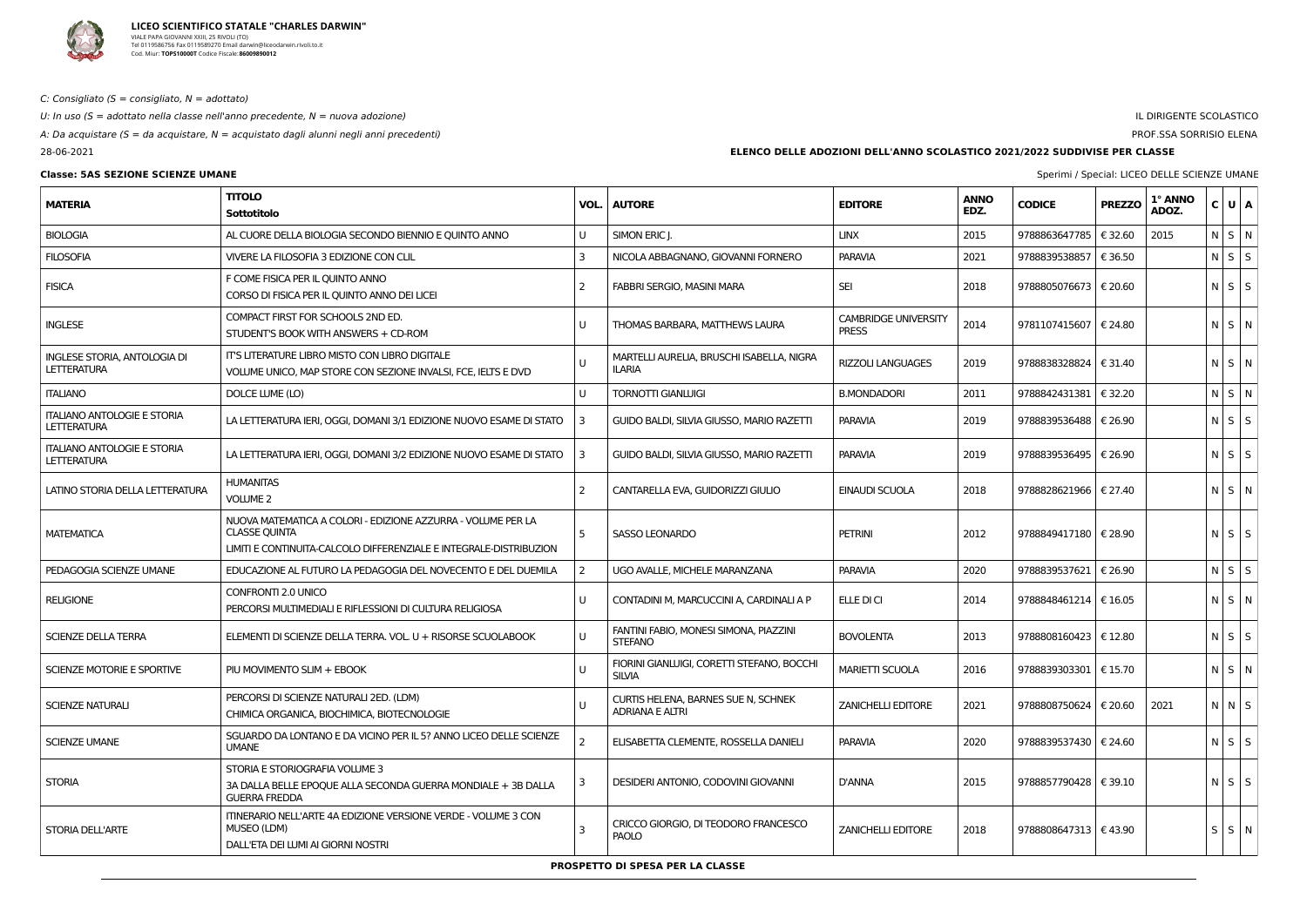

C: Consigliato ( $S =$  consigliato,  $N =$  adottato)

U: In uso ( $S =$  adottato nella classe nell'anno precedente,  $N =$  nuova adozione)

A: Da acquistare (S = da acquistare,  $N =$  acquistato dagli alunni negli anni precedenti) 28-06-2021

# **EDZ. CODICE PREZZO 1° ANNO**  $\begin{array}{c|c} \mathbf{1}^{\circ} \mathsf{ANNO} & \mathsf{c} & \mathsf{U} & \mathsf{A} \end{array}$  $9788805076673 \leq 20.60$  N S S 9781107415607  $|\epsilon$  24.80  $|N|$  S  $|N|$  $9788838328824$  ∈ 31.40  $\vert$  N S N  $9788839536488$   $\epsilon$  26.90  $\vert$  N  $\vert$  S  $\vert$  S  $9788828621966$   $\in$  27.40 N S N  $9788849417180 \div 28.90$  N S S  $9788848461214$   $\in$  16.05  $\vert$  N S N  $9788808160423 \div 12.80$  N S S  $9788839303301$  ∈ 15.70  $\vert$  N S N  $9788808750624$   $\in$  20.60 2021 N N S  $9788839537430 \leq 24.60 \quad | N | S | S$  $9788857790428 \big| \epsilon$  39.10  $\big|$  N  $\big|$  S  $\big|$  S  $9788808647313$  ∈ 43.90  $\vert$  S  $\vert$  S  $\vert$  S  $\vert$  N

### **Classe: 5AS SEZIONE SCIENZE UMANE** Sperimi / Special: LICEO DELLE SCIENZE UMANE

### IL DIRIGENTE SCOLASTICO

#### PROF.SSA SORRISIO ELENA

**ELENCO DELLE ADOZIONI DELL'ANNO SCOLASTICO 2021/2022 SUDDIVISE PER CLASSE**

| <b>MATERIA</b>                                           | <b>TITOLO</b><br>Sottotitolo                                                                                                                               |                | <b>VOL.   AUTORE</b>                                          | <b>EDITORE</b>                              | <b>ANNO</b><br>EDZ. | <b>CODICE</b>           | <b>PREZZO</b> | 1° ANNO<br>ADOZ. | C U A             |  |
|----------------------------------------------------------|------------------------------------------------------------------------------------------------------------------------------------------------------------|----------------|---------------------------------------------------------------|---------------------------------------------|---------------------|-------------------------|---------------|------------------|-------------------|--|
| <b>BIOLOGIA</b>                                          | AL CUORE DELLA BIOLOGIA SECONDO BIENNIO E QUINTO ANNO                                                                                                      | U              | SIMON ERIC J.                                                 | <b>LINX</b>                                 | 2015                | 9788863647785           | € 32.60       | 2015             | $N$ S $N$         |  |
| <b>FILOSOFIA</b>                                         | VIVERE LA FILOSOFIA 3 EDIZIONE CON CLIL                                                                                                                    | 3              | NICOLA ABBAGNANO, GIOVANNI FORNERO                            | <b>PARAVIA</b>                              | 2021                | 9788839538857           | € 36.50       |                  | $N \mid S \mid S$ |  |
| <b>FISICA</b>                                            | F COME FISICA PER IL QUINTO ANNO<br>CORSO DI FISICA PER IL QUINTO ANNO DEI LICEI                                                                           | 2              | FABBRI SERGIO, MASINI MARA                                    | <b>SEI</b>                                  | 2018                | 9788805076673   € 20.60 |               |                  | $N$ $S$ $S$       |  |
| <b>INGLESE</b>                                           | COMPACT FIRST FOR SCHOOLS 2ND ED.<br>STUDENT'S BOOK WITH ANSWERS + CD-ROM                                                                                  | U              | THOMAS BARBARA, MATTHEWS LAURA                                | <b>CAMBRIDGE UNIVERSITY</b><br><b>PRESS</b> | 2014                | 9781107415607           | € 24.80       |                  | $N$ $S$ $N$       |  |
| INGLESE STORIA, ANTOLOGIA DI<br><b>LETTERATURA</b>       | IT'S LITERATURE LIBRO MISTO CON LIBRO DIGITALE<br>VOLUME UNICO, MAP STORE CON SEZIONE INVALSI, FCE, IELTS E DVD                                            |                | MARTELLI AURELIA, BRUSCHI ISABELLA, NIGRA<br><b>ILARIA</b>    | <b>RIZZOLI LANGUAGES</b>                    | 2019                | 9788838328824   € 31.40 |               |                  | N S N             |  |
| <b>ITALIANO</b>                                          | DOLCE LUME (LO)                                                                                                                                            |                | <b>TORNOTTI GIANLUIGI</b>                                     | <b>B.MONDADORI</b>                          | 2011                | 9788842431381   € 32.20 |               |                  | $N$ S $N$         |  |
| <b>ITALIANO ANTOLOGIE E STORIA</b><br><b>LETTERATURA</b> | LA LETTERATURA IERI, OGGI, DOMANI 3/1 EDIZIONE NUOVO ESAME DI STATO                                                                                        | -3             | GUIDO BALDI, SILVIA GIUSSO, MARIO RAZETTI                     | <b>PARAVIA</b>                              | 2019                | 9788839536488           | € 26.90       |                  | $N$ $S$ $S$       |  |
| <b>ITALIANO ANTOLOGIE E STORIA</b><br><b>LETTERATURA</b> | LA LETTERATURA IERI, OGGI, DOMANI 3/2 EDIZIONE NUOVO ESAME DI STATO                                                                                        |                | GUIDO BALDI, SILVIA GIUSSO, MARIO RAZETTI                     | <b>PARAVIA</b>                              | 2019                | 9788839536495           | € 26.90       |                  | $N \mid S \mid S$ |  |
| LATINO STORIA DELLA LETTERATURA                          | <b>HUMANITAS</b><br><b>VOLUME 2</b>                                                                                                                        | 2              | CANTARELLA EVA, GUIDORIZZI GIULIO                             | EINAUDI SCUOLA                              | 2018                | 9788828621966           | € 27.40       |                  | $N$ $S$ $N$       |  |
| <b>MATEMATICA</b>                                        | NUOVA MATEMATICA A COLORI - EDIZIONE AZZURRA - VOLUME PER LA<br><b>CLASSE QUINTA</b><br>LIMITI E CONTINUITA-CALCOLO DIFFERENZIALE E INTEGRALE-DISTRIBUZION | 5              | <b>SASSO LEONARDO</b>                                         | <b>PETRINI</b>                              | 2012                | 9788849417180   € 28.90 |               |                  | $N \mid S \mid S$ |  |
| PEDAGOGIA SCIENZE UMANE                                  | EDUCAZIONE AL FUTURO LA PEDAGOGIA DEL NOVECENTO E DEL DUEMILA                                                                                              | $\overline{z}$ | UGO AVALLE, MICHELE MARANZANA                                 | <b>PARAVIA</b>                              | 2020                | 9788839537621           | € 26.90       |                  | $N$ $S$ $S$       |  |
| <b>RELIGIONE</b>                                         | CONFRONTI 2.0 UNICO<br>PERCORSI MULTIMEDIALI E RIFLESSIONI DI CULTURA RELIGIOSA                                                                            | U              | CONTADINI M, MARCUCCINI A, CARDINALI A P                      | ELLE DI CI                                  | 2014                | 9788848461214   € 16.05 |               |                  | N S N             |  |
| <b>SCIENZE DELLA TERRA</b>                               | ELEMENTI DI SCIENZE DELLA TERRA. VOL. U + RISORSE SCUOLABOOK                                                                                               | U              | FANTINI FABIO, MONESI SIMONA, PIAZZINI<br><b>STEFANO</b>      | <b>BOVOLENTA</b>                            | 2013                | 9788808160423           | € 12.80       |                  | $N$ $S$ $S$       |  |
| SCIENZE MOTORIE E SPORTIVE                               | PIU MOVIMENTO SLIM + EBOOK                                                                                                                                 | $\cup$         | FIORINI GIANLUIGI, CORETTI STEFANO, BOCCHI<br><b>SILVIA</b>   | <b>MARIETTI SCUOLA</b>                      | 2016                | 9788839303301   € 15.70 |               |                  | N S N             |  |
| SCIENZE NATURALI                                         | PERCORSI DI SCIENZE NATURALI 2ED. (LDM)<br>CHIMICA ORGANICA, BIOCHIMICA, BIOTECNOLOGIE                                                                     |                | CURTIS HELENA, BARNES SUE N, SCHNEK<br><b>ADRIANA E ALTRI</b> | <b>ZANICHELLI EDITORE</b>                   | 2021                | 9788808750624   € 20.60 |               | 2021             | N N S             |  |
| <b>SCIENZE UMANE</b>                                     | SGUARDO DA LONTANO E DA VICINO PER IL 5? ANNO LICEO DELLE SCIENZE<br><b>UMANE</b>                                                                          | $\overline{2}$ | ELISABETTA CLEMENTE, ROSSELLA DANIELI                         | <b>PARAVIA</b>                              | 2020                | 9788839537430   € 24.60 |               |                  | $N$ $S$ $S$       |  |
| <b>STORIA</b>                                            | STORIA E STORIOGRAFIA VOLUME 3<br>3A DALLA BELLE EPOQUE ALLA SECONDA GUERRA MONDIALE + 3B DALLA<br><b>GUERRA FREDDA</b>                                    | -3             | DESIDERI ANTONIO, CODOVINI GIOVANNI                           | <b>D'ANNA</b>                               | 2015                | 9788857790428   € 39.10 |               |                  | $N$ $S$ $S$       |  |
| <b>STORIA DELL'ARTE</b>                                  | ITINERARIO NELL'ARTE 4A EDIZIONE VERSIONE VERDE - VOLUME 3 CON<br>MUSEO (LDM)<br>DALL'ETA DEI LUMI AI GIORNI NOSTRI                                        | $\overline{3}$ | CRICCO GIORGIO, DI TEODORO FRANCESCO<br><b>PAOLO</b>          | <b>ZANICHELLI EDITORE</b>                   | 2018                | 9788808647313   € 43.90 |               |                  | $S$ $S$ $N$       |  |
|                                                          |                                                                                                                                                            |                | PROSPETTO DI SPESA PER LA CLASSE                              |                                             |                     |                         |               |                  |                   |  |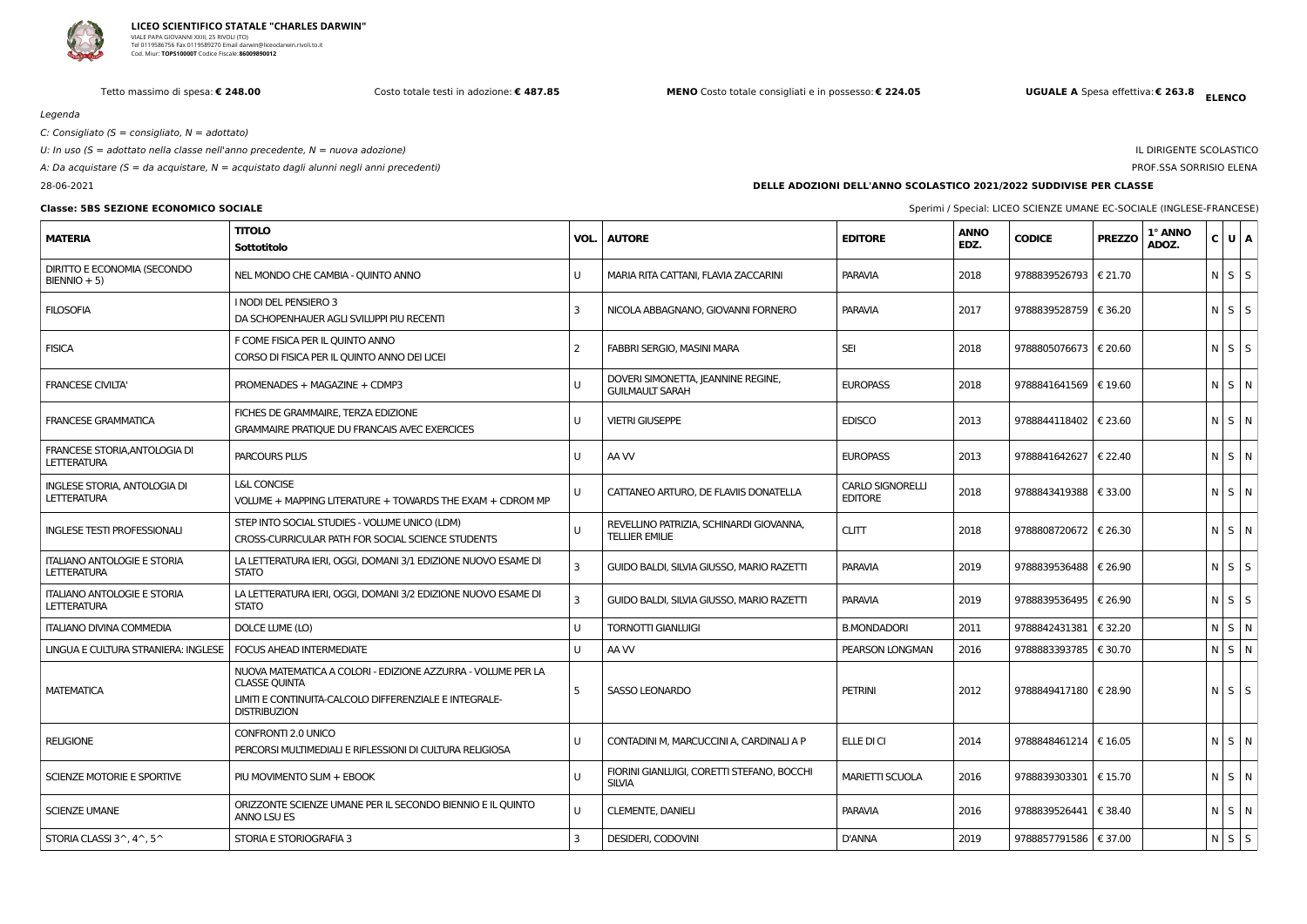

Tetto massimo di spesa: € 248.00 Costo totale testi in adozione: € 487.85 MENO Costo totale consigliati e in possesso: € 224.05

Legenda

C: Consigliato ( $S =$  consigliato,  $N =$  adottato)

U: In uso ( $S =$  adottato nella classe nell'anno precedente,  $N =$  nuova adozione)

A: Da acquistare (S = da acquistare,  $N =$  acquistato dagli alunni negli anni precedenti)

28-06-2021

IL DIRIGENTE SCOLASTICO PROF.SSA SORRISIO ELENA

**DELLE ADOZIONI DELL'ANNO SCOLASTICO 2021/2022 SUDDIVISE PER CLASSE**

|  |  | Sperimi / Specia |
|--|--|------------------|
|  |  |                  |

| <b>MATERIA</b>                                           | <b>TITOLO</b><br>Sottotitolo                                                                                                                                          | VOL. | <b>AUTORE</b>                                                    | <b>EDITORE</b>                            | <b>ANNO</b><br>EDZ. | <b>CODICE</b>           | <b>PREZZO</b> | 1° ANNO<br>ADOZ. | $C$ $U$ $A$       |     |
|----------------------------------------------------------|-----------------------------------------------------------------------------------------------------------------------------------------------------------------------|------|------------------------------------------------------------------|-------------------------------------------|---------------------|-------------------------|---------------|------------------|-------------------|-----|
| DIRITTO E ECONOMIA (SECONDO<br>$BIENTIO + 5)$            | NEL MONDO CHE CAMBIA - QUINTO ANNO                                                                                                                                    | U    | MARIA RITA CATTANI, FLAVIA ZACCARINI                             | <b>PARAVIA</b>                            | 2018                | 9788839526793   € 21.70 |               |                  | $N \mid S \mid S$ |     |
| <b>FILOSOFIA</b>                                         | I NODI DEL PENSIERO 3<br>DA SCHOPENHAUER AGLI SVILUPPI PIU RECENTI                                                                                                    | 3    | NICOLA ABBAGNANO, GIOVANNI FORNERO                               | <b>PARAVIA</b>                            | 2017                | 9788839528759   € 36.20 |               |                  | $N$ $S$ $S$       |     |
| <b>FISICA</b>                                            | F COME FISICA PER IL QUINTO ANNO<br>CORSO DI FISICA PER IL QUINTO ANNO DEI LICEI                                                                                      | 2    | FABBRI SERGIO, MASINI MARA                                       | <b>SEI</b>                                | 2018                | 9788805076673   € 20.60 |               |                  | $N$ $S$ $S$       |     |
| <b>FRANCESE CIVILTA'</b>                                 | PROMENADES + MAGAZINE + CDMP3                                                                                                                                         | U    | DOVERI SIMONETTA, JEANNINE REGINE,<br><b>GUILMAULT SARAH</b>     | <b>EUROPASS</b>                           | 2018                | 9788841641569   € 19.60 |               |                  | $N$ $S$ $N$       |     |
| <b>FRANCESE GRAMMATICA</b>                               | FICHES DE GRAMMAIRE, TERZA EDIZIONE<br><b>GRAMMAIRE PRATIQUE DU FRANCAIS AVEC EXERCICES</b>                                                                           | U    | <b>VIETRI GIUSEPPE</b>                                           | <b>EDISCO</b>                             | 2013                | 9788844118402   € 23.60 |               |                  | $N$ $S$ $N$       |     |
| FRANCESE STORIA, ANTOLOGIA DI<br><b>LETTERATURA</b>      | <b>PARCOURS PLUS</b>                                                                                                                                                  | U    | AA W                                                             | <b>EUROPASS</b>                           | 2013                | 9788841642627           | € 22.40       |                  | N S N             |     |
| INGLESE STORIA, ANTOLOGIA DI<br><b>LETTERATURA</b>       | <b>L&amp;L CONCISE</b><br>VOLUME + MAPPING LITERATURE + TOWARDS THE EXAM + CDROM MP                                                                                   | U    | CATTANEO ARTURO, DE FLAVIIS DONATELLA                            | <b>CARLO SIGNORELLI</b><br><b>EDITORE</b> | 2018                | 9788843419388   € 33.00 |               |                  | $N$ $S$ $N$       |     |
| <b>INGLESE TESTI PROFESSIONALI</b>                       | STEP INTO SOCIAL STUDIES - VOLUME UNICO (LDM)<br>CROSS-CURRICULAR PATH FOR SOCIAL SCIENCE STUDENTS                                                                    | U    | REVELLINO PATRIZIA, SCHINARDI GIOVANNA,<br><b>TELLIER EMILIE</b> | <b>CLITT</b>                              | 2018                | 9788808720672   € 26.30 |               |                  | $N$ $S$ $N$       |     |
| <b>ITALIANO ANTOLOGIE E STORIA</b><br><b>LETTERATURA</b> | LA LETTERATURA IERI, OGGI, DOMANI 3/1 EDIZIONE NUOVO ESAME DI<br><b>STATO</b>                                                                                         | 3    | GUIDO BALDI, SILVIA GIUSSO, MARIO RAZETTI                        | <b>PARAVIA</b>                            | 2019                | 9788839536488   € 26.90 |               |                  | $N \mid S \mid S$ |     |
| <b>ITALIANO ANTOLOGIE E STORIA</b><br><b>LETTERATURA</b> | LA LETTERATURA IERI, OGGI, DOMANI 3/2 EDIZIONE NUOVO ESAME DI<br><b>STATO</b>                                                                                         | 3    | GUIDO BALDI, SILVIA GIUSSO, MARIO RAZETTI                        | <b>PARAVIA</b>                            | 2019                | 9788839536495   € 26.90 |               |                  | $N \mid S \mid S$ |     |
| <b>ITALIANO DIVINA COMMEDIA</b>                          | DOLCE LUME (LO)                                                                                                                                                       | U    | <b>TORNOTTI GIANLUIGI</b>                                        | <b>B.MONDADORI</b>                        | 2011                | 9788842431381           | € 32.20       |                  | N S N             |     |
| LINGUA E CULTURA STRANIERA: INGLESE                      | <b>FOCUS AHEAD INTERMEDIATE</b>                                                                                                                                       | U    | AA W                                                             | PEARSON LONGMAN                           | 2016                | 9788883393785   € 30.70 |               |                  |                   | NSN |
| <b>MATEMATICA</b>                                        | NUOVA MATEMATICA A COLORI - EDIZIONE AZZURRA - VOLUME PER LA<br><b>CLASSE QUINTA</b><br>LIMITI E CONTINUITA-CALCOLO DIFFERENZIALE E INTEGRALE-<br><b>DISTRIBUZION</b> | 5    | <b>SASSO LEONARDO</b>                                            | <b>PETRINI</b>                            | 2012                | 9788849417180   € 28.90 |               |                  | $N$ $S$ $S$       |     |
| <b>RELIGIONE</b>                                         | CONFRONTI 2.0 UNICO<br>PERCORSI MULTIMEDIALI E RIFLESSIONI DI CULTURA RELIGIOSA                                                                                       | U    | CONTADINI M, MARCUCCINI A, CARDINALI A P                         | ELLE DI CI                                | 2014                | 9788848461214   € 16.05 |               |                  | $N$ $S$ $N$       |     |
| SCIENZE MOTORIE E SPORTIVE                               | PIU MOVIMENTO SLIM + EBOOK                                                                                                                                            | U    | FIORINI GIANLUIGI, CORETTI STEFANO, BOCCHI<br><b>SILVIA</b>      | <b>MARIETTI SCUOLA</b>                    | 2016                | 9788839303301   € 15.70 |               |                  | $N$ $S$ $N$       |     |
| <b>SCIENZE UMANE</b>                                     | ORIZZONTE SCIENZE UMANE PER IL SECONDO BIENNIO E IL QUINTO<br>ANNO LSU ES                                                                                             | U    | <b>CLEMENTE, DANIELI</b>                                         | <b>PARAVIA</b>                            | 2016                | 9788839526441   € 38.40 |               |                  | N S N             |     |
| STORIA CLASSI 3^, 4^, 5^                                 | STORIA E STORIOGRAFIA 3                                                                                                                                               | 3    | DESIDERI, CODOVINI                                               | <b>D'ANNA</b>                             | 2019                | 9788857791586   € 37.00 |               |                  | $N$ $S$ $S$       |     |

## UGUALE A Spesa effettiva: € 263.8 **ELENCO**

**Classe: 5BS SEZIONE ECONOMICO SOCIALE** Sperimi / Special: LICEO SCIENZE UMANE EC-SOCIALE (INGLESE-FRANCESE)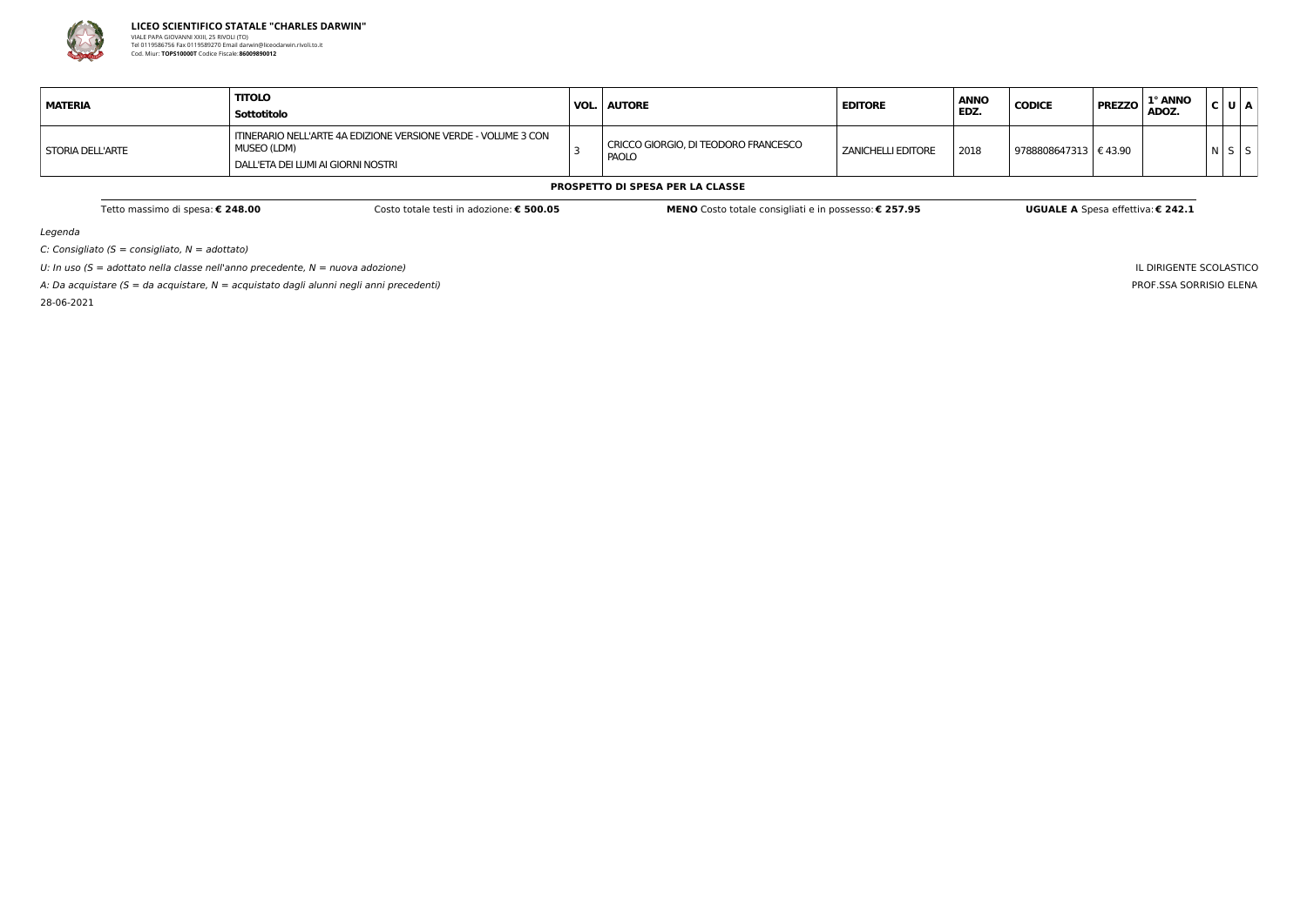

**LICEO SCIENTIFICO STATALE "CHARLES DARWIN"** VIALE PAPA GIOVANNI XXIII, 25 RIVOLI (TO) Tel 0119586756 Fax 0119589270 Email darwin@liceodarwin.rivoli.to.it Cod. Miur: **TOPS10000T** Codice Fiscale:**86009890012**

Legenda

 $C:$  Consigliato (S = consigliato,  $N =$  adottato)

U: In uso ( $S =$  adottato nella classe nell'anno precedente,  $N =$  nuova adozione)

A: Da acquistare (S = da acquistare,  $N =$  acquistato dagli alunni negli anni precedenti)

28-06-2021

IL DIRIGENTE SCOLASTICO PROF.SSA SORRISIO ELENA

| <b>MATERIA</b>   | <b>TITOLO</b><br>Sottotitolo                                                                                       | <b>VOL. AUTORE</b>                            | <b>EDITORE</b>            | <b>ANNO</b><br>EDZ. | <b>CODICE</b>           | <b>PREZZO</b> | $1^\circ$ ANNO<br>ADOZ. | C U A       |  |
|------------------|--------------------------------------------------------------------------------------------------------------------|-----------------------------------------------|---------------------------|---------------------|-------------------------|---------------|-------------------------|-------------|--|
| STORIA DELL'ARTE | TINERARIO NELL'ARTE 4A EDIZIONE VERSIONE VERDE - VOLUME 3 CON<br>MUSEO (LDM)<br>DALL'ETA DEI LUMI AI GIORNI NOSTRI | CRICCO GIORGIO, DI TEODORO FRANCESCO<br>PAOLO | <b>ZANICHELLI EDITORE</b> | 2018                | 9788808647313   € 43.90 |               |                         | $N$ $S$ $S$ |  |

#### **PROSPETTO DI SPESA PER LA CLASSE**

Tetto massimo di spesa: € 248.00 Costo totale testi in adozione: € 500.05 MENO Costo totale consigliati e in possesso: € 257.95 UGUALE A Spesa effettiva: € 242.1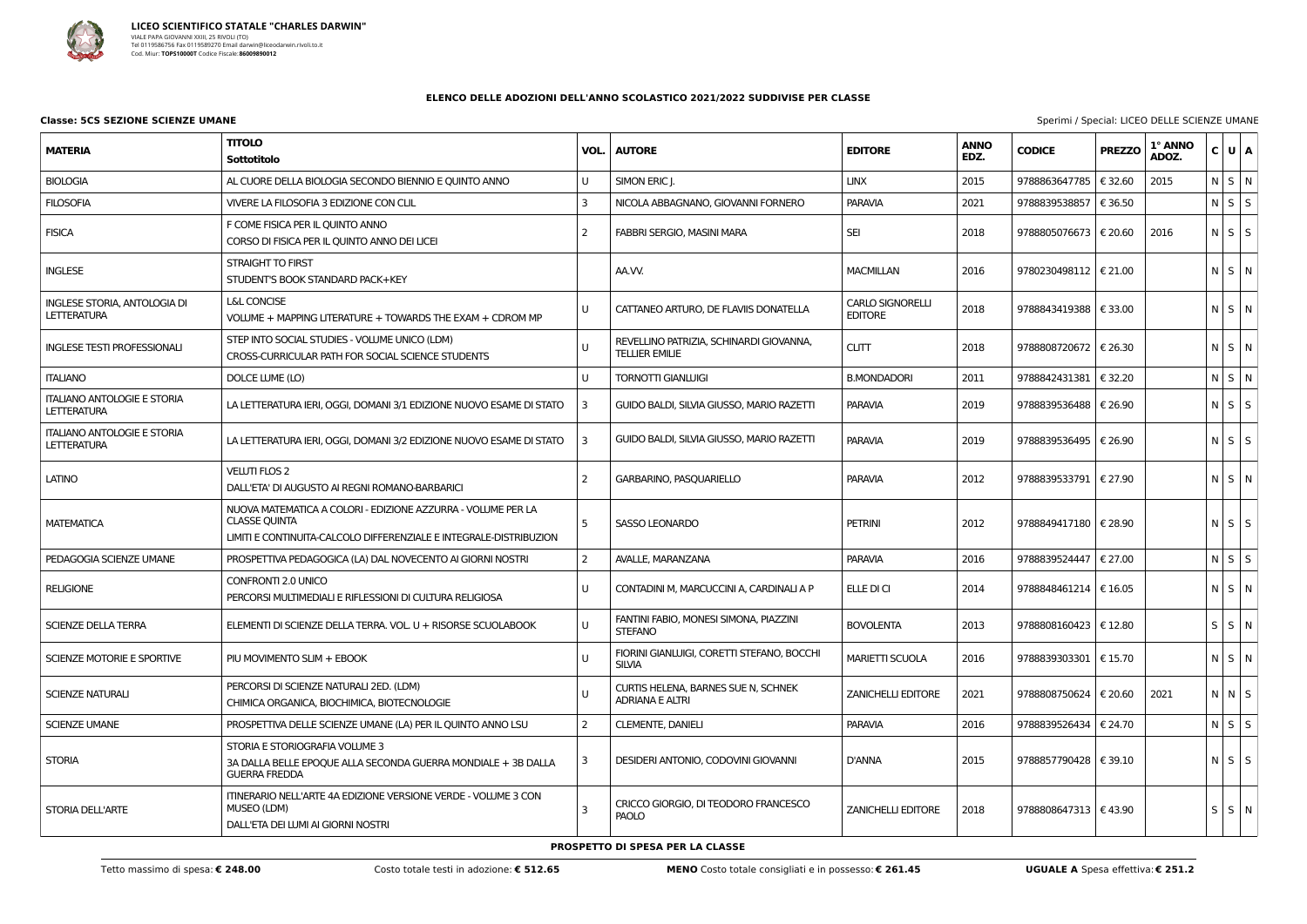

**Classe: 5CS SEZIONE SCIENZE UMANE** Sperimi / Special: LICEO DELLE SCIENZE UMANE

#### **ELENCO DELLE ADOZIONI DELL'ANNO SCOLASTICO 2021/2022 SUDDIVISE PER CLASSE**

| <b>MATERIA</b>                                           | <b>TITOLO</b><br><b>Sottotitolo</b>                                                                                                                        |                | <b>VOL.   AUTORE</b>                                             | <b>EDITORE</b>                            | <b>ANNO</b><br>EDZ. | <b>CODICE</b>           | <b>PREZZO</b> | 1° ANNO<br>ADOZ. | C U A             |  |
|----------------------------------------------------------|------------------------------------------------------------------------------------------------------------------------------------------------------------|----------------|------------------------------------------------------------------|-------------------------------------------|---------------------|-------------------------|---------------|------------------|-------------------|--|
| <b>BIOLOGIA</b>                                          | AL CUORE DELLA BIOLOGIA SECONDO BIENNIO E QUINTO ANNO                                                                                                      | U              | SIMON ERIC J.                                                    | <b>LINX</b>                               | 2015                | 9788863647785           | € 32.60       | 2015             | N S N             |  |
| <b>FILOSOFIA</b>                                         | VIVERE LA FILOSOFIA 3 EDIZIONE CON CLIL                                                                                                                    | 3              | NICOLA ABBAGNANO, GIOVANNI FORNERO                               | <b>PARAVIA</b>                            | 2021                | 9788839538857           | € 36.50       |                  | $N$ $S$ $S$       |  |
| <b>FISICA</b>                                            | F COME FISICA PER IL QUINTO ANNO<br>CORSO DI FISICA PER IL QUINTO ANNO DEI LICEI                                                                           | $\overline{2}$ | FABBRI SERGIO, MASINI MARA                                       | <b>SEI</b>                                | 2018                | 9788805076673   € 20.60 |               | 2016             | $N$ $S$ $S$       |  |
| <b>INGLESE</b>                                           | STRAIGHT TO FIRST<br>STUDENT'S BOOK STANDARD PACK+KEY                                                                                                      |                | AA.VV.                                                           | <b>MACMILLAN</b>                          | 2016                | 9780230498112   € 21.00 |               |                  | $N$ $S$ $N$       |  |
| INGLESE STORIA, ANTOLOGIA DI<br><b>LETTERATURA</b>       | <b>L&amp;L CONCISE</b><br>VOLUME + MAPPING LITERATURE + TOWARDS THE EXAM + CDROM MP                                                                        | U              | CATTANEO ARTURO, DE FLAVIIS DONATELLA                            | <b>CARLO SIGNORELLI</b><br><b>EDITORE</b> | 2018                | 9788843419388   € 33.00 |               |                  | $N$ S $N$         |  |
| <b>INGLESE TESTI PROFESSIONALI</b>                       | STEP INTO SOCIAL STUDIES - VOLUME UNICO (LDM)<br>CROSS-CURRICULAR PATH FOR SOCIAL SCIENCE STUDENTS                                                         | U              | REVELLINO PATRIZIA, SCHINARDI GIOVANNA,<br><b>TELLIER EMILIE</b> | <b>CLITT</b>                              | 2018                | 9788808720672   € 26.30 |               |                  | $N$ S $N$         |  |
| <b>ITALIANO</b>                                          | DOLCE LUME (LO)                                                                                                                                            |                | <b>TORNOTTI GIANLUIGI</b>                                        | <b>B.MONDADORI</b>                        | 2011                | 9788842431381           | € 32.20       |                  | $N$ $S$ $N$       |  |
| <b>ITALIANO ANTOLOGIE E STORIA</b><br><b>LETTERATURA</b> | LA LETTERATURA IERI, OGGI, DOMANI 3/1 EDIZIONE NUOVO ESAME DI STATO                                                                                        | -3             | GUIDO BALDI, SILVIA GIUSSO, MARIO RAZETTI                        | <b>PARAVIA</b>                            | 2019                | 9788839536488           | € 26.90       |                  | $N$ S S           |  |
| <b>ITALIANO ANTOLOGIE E STORIA</b><br><b>LETTERATURA</b> | LA LETTERATURA IERI, OGGI, DOMANI 3/2 EDIZIONE NUOVO ESAME DI STATO                                                                                        |                | GUIDO BALDI, SILVIA GIUSSO, MARIO RAZETTI                        | <b>PARAVIA</b>                            | 2019                | 9788839536495   € 26.90 |               |                  | $N \mid S \mid S$ |  |
| LATINO                                                   | <b>VELUTI FLOS 2</b><br>DALL'ETA' DI AUGUSTO AI REGNI ROMANO-BARBARICI                                                                                     | 2              | GARBARINO, PASQUARIELLO                                          | <b>PARAVIA</b>                            | 2012                | 9788839533791   € 27.90 |               |                  | NSN               |  |
| <b>MATEMATICA</b>                                        | NUOVA MATEMATICA A COLORI - EDIZIONE AZZURRA - VOLUME PER LA<br><b>CLASSE QUINTA</b><br>LIMITI E CONTINUITA-CALCOLO DIFFERENZIALE E INTEGRALE-DISTRIBUZION | 5              | <b>SASSO LEONARDO</b>                                            | <b>PETRINI</b>                            | 2012                | 9788849417180   € 28.90 |               |                  | $N$ $S$ $S$       |  |
| PEDAGOGIA SCIENZE UMANE                                  | PROSPETTIVA PEDAGOGICA (LA) DAL NOVECENTO AI GIORNI NOSTRI                                                                                                 | 2              | AVALLE, MARANZANA                                                | <b>PARAVIA</b>                            | 2016                | 9788839524447   € 27.00 |               |                  | N S S             |  |
| <b>RELIGIONE</b>                                         | CONFRONTI 2.0 UNICO<br>PERCORSI MULTIMEDIALI E RIFLESSIONI DI CULTURA RELIGIOSA                                                                            | U              | CONTADINI M, MARCUCCINI A, CARDINALI A P                         | ELLE DI CI                                | 2014                | 9788848461214           | € 16.05       |                  | NSN               |  |
| <b>SCIENZE DELLA TERRA</b>                               | ELEMENTI DI SCIENZE DELLA TERRA. VOL. U + RISORSE SCUOLABOOK                                                                                               | U              | FANTINI FABIO, MONESI SIMONA, PIAZZINI<br><b>STEFANO</b>         | <b>BOVOLENTA</b>                          | 2013                | 9788808160423   € 12.80 |               |                  | 5151N             |  |
| SCIENZE MOTORIE E SPORTIVE                               | PIU MOVIMENTO SLIM + EBOOK                                                                                                                                 | U              | FIORINI GIANLUIGI, CORETTI STEFANO, BOCCHI<br>SILVIA             | <b>MARIETTI SCUOLA</b>                    | 2016                | 9788839303301   € 15.70 |               |                  | $N$ $S$ $N$       |  |
| <b>SCIENZE NATURALI</b>                                  | PERCORSI DI SCIENZE NATURALI 2ED. (LDM)<br>CHIMICA ORGANICA, BIOCHIMICA, BIOTECNOLOGIE                                                                     |                | CURTIS HELENA, BARNES SUE N, SCHNEK<br><b>ADRIANA E ALTRI</b>    | <b>ZANICHELLI EDITORE</b>                 | 2021                | 9788808750624           | € 20.60       | 2021             | N N S             |  |
| <b>SCIENZE UMANE</b>                                     | PROSPETTIVA DELLE SCIENZE UMANE (LA) PER IL QUINTO ANNO LSU                                                                                                | 2              | <b>CLEMENTE, DANIELI</b>                                         | <b>PARAVIA</b>                            | 2016                | 9788839526434   € 24.70 |               |                  | $N$ $S$ $S$       |  |
| <b>STORIA</b>                                            | STORIA E STORIOGRAFIA VOLUME 3<br>3A DALLA BELLE EPOQUE ALLA SECONDA GUERRA MONDIALE + 3B DALLA<br><b>GUERRA FREDDA</b>                                    | 3              | DESIDERI ANTONIO, CODOVINI GIOVANNI                              | <b>D'ANNA</b>                             | 2015                | 9788857790428 € 39.10   |               |                  | $N$ $S$ $S$       |  |
| <b>STORIA DELL'ARTE</b>                                  | ITINERARIO NELL'ARTE 4A EDIZIONE VERSIONE VERDE - VOLUME 3 CON<br>MUSEO (LDM)<br>DALL'ETA DEI LUMI AI GIORNI NOSTRI                                        | 3              | CRICCO GIORGIO, DI TEODORO FRANCESCO<br><b>PAOLO</b>             | <b>ZANICHELLI EDITORE</b>                 | 2018                | 9788808647313   € 43.90 |               |                  | $S \mid S \mid N$ |  |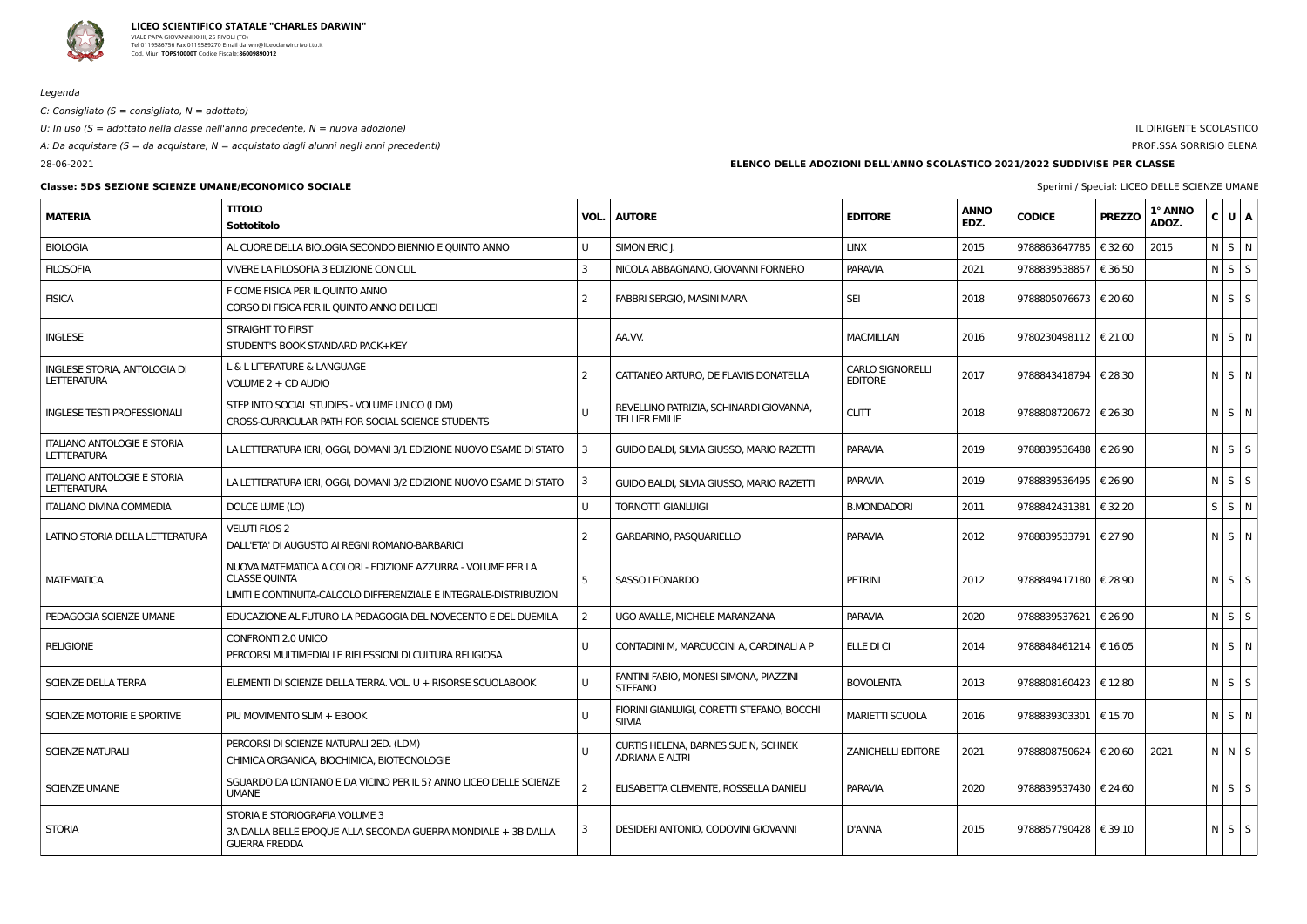

 $C:$  Consigliato (S = consigliato,  $N =$  adottato)

U: In uso ( $S =$  adottato nella classe nell'anno precedente,  $N =$  nuova adozione)

A: Da acquistare (S = da acquistare,  $N =$  acquistato dagli alunni negli anni precedenti)

28-06-2021

### IL DIRIGENTE SCOLASTICO PROF.SSA SORRISIO ELENA

### **ELENCO DELLE ADOZIONI DELL'ANNO SCOLASTICO 2021/2022 SUDDIVISE PER CLASSE**

### **Classe: 5DS SEZIONE SCIENZE UMANE/ECONOMICO SOCIALE SCIENZE SOCIALE SCIENZE UMANE**

| <b>MATERIA</b>                                           | <b>TITOLO</b><br>Sottotitolo                                                                                                                               |                          | <b>VOL.   AUTORE</b>                                             | <b>EDITORE</b>                            | <b>ANNO</b><br>EDZ. | <b>CODICE</b>           | <b>PREZZO</b> | 1° ANNO<br>ADOZ. | C U A       |
|----------------------------------------------------------|------------------------------------------------------------------------------------------------------------------------------------------------------------|--------------------------|------------------------------------------------------------------|-------------------------------------------|---------------------|-------------------------|---------------|------------------|-------------|
| <b>BIOLOGIA</b>                                          | AL CUORE DELLA BIOLOGIA SECONDO BIENNIO E QUINTO ANNO                                                                                                      | U                        | SIMON ERIC J.                                                    | <b>LINX</b>                               | 2015                | 9788863647785           | € 32.60       | 2015             | $N$ $S$ $N$ |
| <b>FILOSOFIA</b>                                         | VIVERE LA FILOSOFIA 3 EDIZIONE CON CLIL                                                                                                                    | 3                        | NICOLA ABBAGNANO, GIOVANNI FORNERO                               | <b>PARAVIA</b>                            | 2021                | 9788839538857           | € 36.50       |                  | $N$ $S$ $S$ |
| <b>FISICA</b>                                            | F COME FISICA PER IL QUINTO ANNO<br>CORSO DI FISICA PER IL QUINTO ANNO DEI LICEI                                                                           | 2                        | FABBRI SERGIO, MASINI MARA                                       | <b>SEI</b>                                | 2018                | 9788805076673           | € 20.60       |                  | $N$ $S$ $S$ |
| <b>INGLESE</b>                                           | STRAIGHT TO FIRST<br>STUDENT'S BOOK STANDARD PACK+KEY                                                                                                      |                          | AA.VV.                                                           | <b>MACMILLAN</b>                          | 2016                | 9780230498112   € 21.00 |               |                  | NSN         |
| INGLESE STORIA, ANTOLOGIA DI<br><b>LETTERATURA</b>       | L & L LITERATURE & LANGUAGE<br>VOLUME 2 + CD AUDIO                                                                                                         | 2                        | CATTANEO ARTURO, DE FLAVIIS DONATELLA                            | <b>CARLO SIGNORELLI</b><br><b>EDITORE</b> | 2017                | 9788843418794           | € 28.30       |                  | $N$ $S$ $N$ |
| <b>INGLESE TESTI PROFESSIONALI</b>                       | STEP INTO SOCIAL STUDIES - VOLUME UNICO (LDM)<br>CROSS-CURRICULAR PATH FOR SOCIAL SCIENCE STUDENTS                                                         |                          | REVELLINO PATRIZIA, SCHINARDI GIOVANNA,<br><b>TELLIER EMILIE</b> | <b>CLITT</b>                              | 2018                | 9788808720672   € 26.30 |               |                  | $N$ $S$ $N$ |
| <b>ITALIANO ANTOLOGIE E STORIA</b><br><b>LETTERATURA</b> | LA LETTERATURA IERI, OGGI, DOMANI 3/1 EDIZIONE NUOVO ESAME DI STATO                                                                                        | 3                        | GUIDO BALDI, SILVIA GIUSSO, MARIO RAZETTI                        | <b>PARAVIA</b>                            | 2019                | 9788839536488           | € 26.90       |                  | $N$ S S     |
| <b>ITALIANO ANTOLOGIE E STORIA</b><br><b>LETTERATURA</b> | LA LETTERATURA IERI, OGGI, DOMANI 3/2 EDIZIONE NUOVO ESAME DI STATO                                                                                        | 3                        | GUIDO BALDI, SILVIA GIUSSO, MARIO RAZETTI                        | <b>PARAVIA</b>                            | 2019                | 9788839536495           | € 26.90       |                  | $N$ $S$ $S$ |
| <b>ITALIANO DIVINA COMMEDIA</b>                          | DOLCE LUME (LO)                                                                                                                                            | U                        | <b>TORNOTTI GIANLUIGI</b>                                        | <b>B.MONDADORI</b>                        | 2011                | 9788842431381           | € 32.20       |                  | $S$ $S$ $N$ |
| LATINO STORIA DELLA LETTERATURA                          | <b>VELUTI FLOS 2</b><br>DALL'ETA' DI AUGUSTO AI REGNI ROMANO-BARBARICI                                                                                     | -2                       | GARBARINO, PASQUARIELLO                                          | <b>PARAVIA</b>                            | 2012                | 9788839533791           | € 27.90       |                  | $N$ S $N$   |
| MATEMATICA                                               | NUOVA MATEMATICA A COLORI - EDIZIONE AZZURRA - VOLUME PER LA<br><b>CLASSE QUINTA</b><br>LIMITI E CONTINUITA-CALCOLO DIFFERENZIALE E INTEGRALE-DISTRIBUZION | 5                        | <b>SASSO LEONARDO</b>                                            | <b>PETRINI</b>                            | 2012                | 9788849417180   € 28.90 |               |                  | $N$ $S$ $S$ |
| PEDAGOGIA SCIENZE UMANE                                  | EDUCAZIONE AL FUTURO LA PEDAGOGIA DEL NOVECENTO E DEL DUEMILA                                                                                              | $\mathcal{P}$            | UGO AVALLE, MICHELE MARANZANA                                    | <b>PARAVIA</b>                            | 2020                | 9788839537621   € 26.90 |               |                  | $N$ $S$ $S$ |
| <b>RELIGIONE</b>                                         | <b>CONFRONTI 2.0 UNICO</b><br>PERCORSI MULTIMEDIALI E RIFLESSIONI DI CULTURA RELIGIOSA                                                                     | U                        | CONTADINI M, MARCUCCINI A, CARDINALI A P                         | ELLE DI CI                                | 2014                | 9788848461214           | € 16.05       |                  | $N$ $S$ $N$ |
| <b>SCIENZE DELLA TERRA</b>                               | ELEMENTI DI SCIENZE DELLA TERRA. VOL. U + RISORSE SCUOLABOOK                                                                                               | U                        | FANTINI FABIO, MONESI SIMONA, PIAZZINI<br><b>STEFANO</b>         | <b>BOVOLENTA</b>                          | 2013                | 9788808160423   € 12.80 |               |                  | $N$ S $S$   |
| SCIENZE MOTORIE E SPORTIVE                               | PIU MOVIMENTO SLIM + EBOOK                                                                                                                                 | U                        | FIORINI GIANLUIGI, CORETTI STEFANO, BOCCHI<br>SILVIA             | <b>MARIETTI SCUOLA</b>                    | 2016                | 9788839303301   € 15.70 |               |                  | $N$ $S$ $N$ |
| <b>SCIENZE NATURALI</b>                                  | PERCORSI DI SCIENZE NATURALI 2ED. (LDM)<br>CHIMICA ORGANICA, BIOCHIMICA, BIOTECNOLOGIE                                                                     | U                        | CURTIS HELENA, BARNES SUE N, SCHNEK<br>ADRIANA E ALTRI           | <b>ZANICHELLI EDITORE</b>                 | 2021                | 9788808750624           | € 20.60       | 2021             | N N S       |
| <b>SCIENZE UMANE</b>                                     | SGUARDO DA LONTANO E DA VICINO PER IL 5? ANNO LICEO DELLE SCIENZE<br><b>UMANE</b>                                                                          | $\overline{\phantom{0}}$ | ELISABETTA CLEMENTE, ROSSELLA DANIELI                            | <b>PARAVIA</b>                            | 2020                | 9788839537430   € 24.60 |               |                  | $N$ $S$ $S$ |
| <b>STORIA</b>                                            | STORIA E STORIOGRAFIA VOLUME 3<br>3A DALLA BELLE EPOQUE ALLA SECONDA GUERRA MONDIALE + 3B DALLA<br><b>GUERRA FREDDA</b>                                    | 3                        | DESIDERI ANTONIO, CODOVINI GIOVANNI                              | <b>D'ANNA</b>                             | 2015                | 9788857790428   € 39.10 |               |                  | $N$ $S$ $S$ |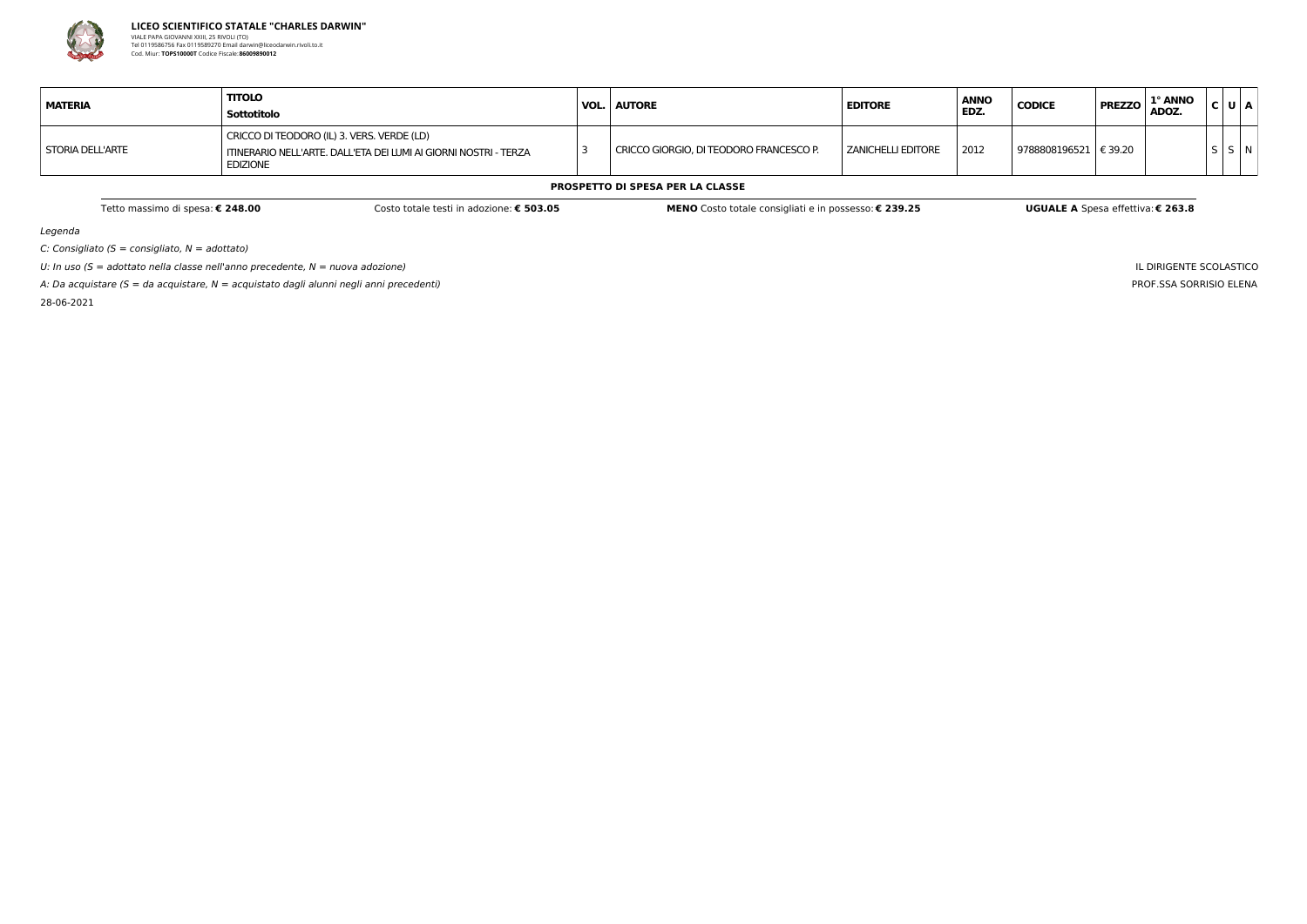

**LICEO SCIENTIFICO STATALE "CHARLES DARWIN"** VIALE PAPA GIOVANNI XXIII, 25 RIVOLI (TO) Tel 0119586756 Fax 0119589270 Email darwin@liceodarwin.rivoli.to.it Cod. Miur: **TOPS10000T** Codice Fiscale:**86009890012**

Legenda

C: Consigliato ( $S =$  consigliato,  $N =$  adottato)

U: In uso ( $S =$  adottato nella classe nell'anno precedente,  $N =$  nuova adozione)

A: Da acquistare ( $S = da$  acquistare,  $N = ac$ quistato dagli alunni negli anni precedenti)

28-06-2021

IL DIRIGENTE SCOLASTICO PROF.SSA SORRISIO ELENA

| <b>MATERIA</b>   | <b>TITOLO</b><br>Sottotitolo                                                                                                        | <b>VOL. AUTORE</b>                      | <b>EDITORE</b>       | <b>ANNO</b><br>EDZ. | <b>CODICE</b>           | <b>PREZZO</b> | L° ANNO<br>ADOZ. | C U A |     |
|------------------|-------------------------------------------------------------------------------------------------------------------------------------|-----------------------------------------|----------------------|---------------------|-------------------------|---------------|------------------|-------|-----|
| STORIA DELL'ARTE | CRICCO DI TEODORO (IL) 3. VERS. VERDE (LD)<br>  ITINERARIO NELL'ARTE. DALL'ETA DEI LUMI AI GIORNI NOSTRI - TERZA<br><b>EDIZIONE</b> | CRICCO GIORGIO, DI TEODORO FRANCESCO P. | I ZANICHELLI EDITORE | 2012                | 9788808196521   € 39.20 |               |                  |       | SIN |

#### **PROSPETTO DI SPESA PER LA CLASSE**

Tetto massimo di spesa: € 248.00 Costo MENO Costo totale testi in adozione: € 503.05 MENO Costo totale consigliati e in possesso: € 239.25 UGUALE A Spesa effettiva: € 263.8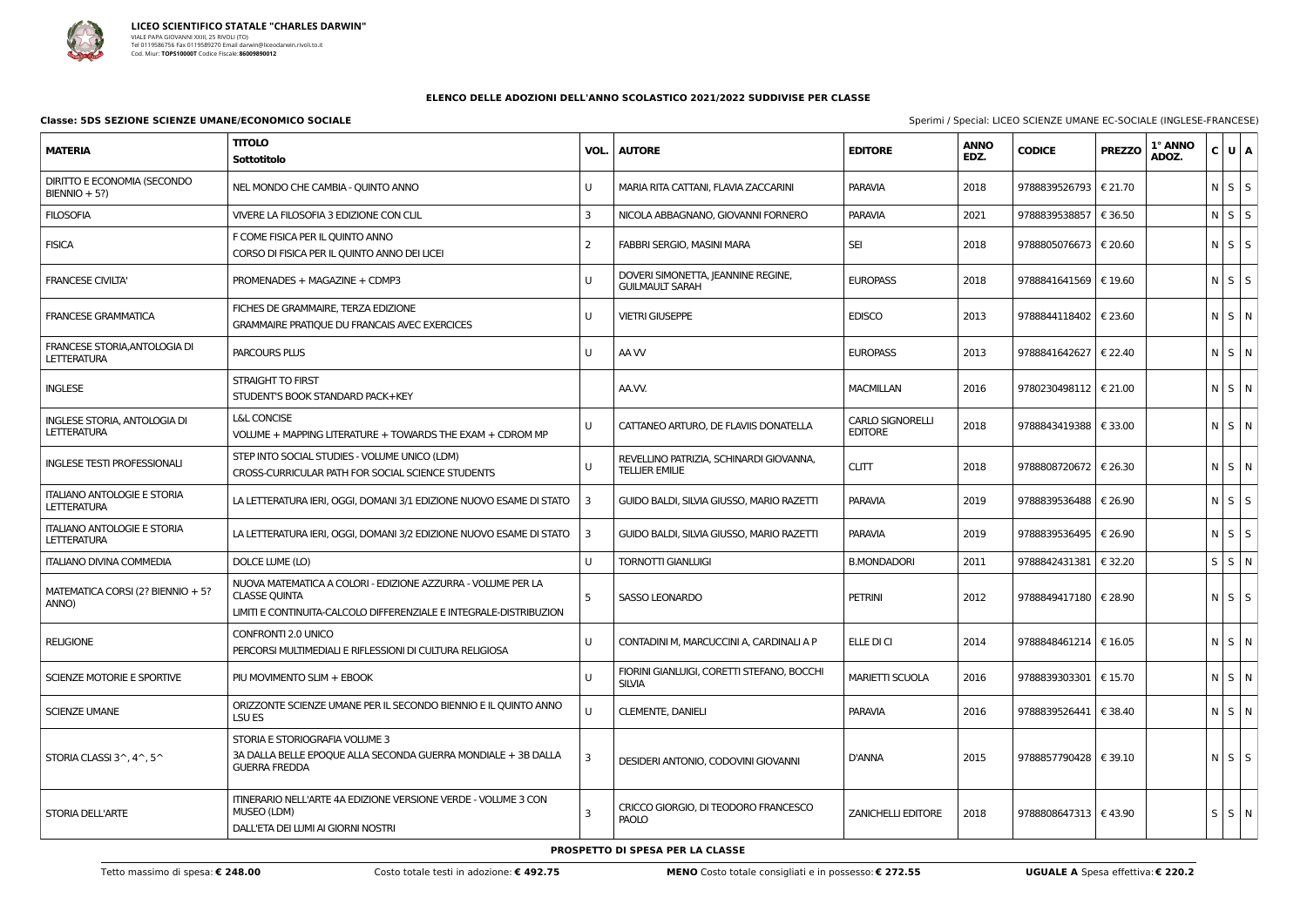

#### **ELENCO DELLE ADOZIONI DELL'ANNO SCOLASTICO 2021/2022 SUDDIVISE PER CLASSE**

#### **Classe: 5DS SEZIONE SCIENZE UMANE/ECONOMICO SOCIALE** Special: LICEO SCIENZE UMANE EC-SOCIALE (INGLESE-FRANCESE)

| <b>MATERIA</b>                                            | <b>TITOLO</b><br>Sottotitolo                                                                                                                               | VOL. | <b>AUTORE</b>                                                    | <b>EDITORE</b>                            | <b>ANNO</b><br>EDZ. | <b>CODICE</b>               | <b>PREZZO</b> | 1° ANNO<br>ADOZ. | C U A             |
|-----------------------------------------------------------|------------------------------------------------------------------------------------------------------------------------------------------------------------|------|------------------------------------------------------------------|-------------------------------------------|---------------------|-----------------------------|---------------|------------------|-------------------|
| DIRITTO E ECONOMIA (SECONDO<br>$BIENTIO + 5?)$            | NEL MONDO CHE CAMBIA - QUINTO ANNO                                                                                                                         |      | MARIA RITA CATTANI, FLAVIA ZACCARINI                             | <b>PARAVIA</b>                            | 2018                | 9788839526793   € 21.70     |               |                  | $N$ $S$ $S$       |
| <b>FILOSOFIA</b>                                          | VIVERE LA FILOSOFIA 3 EDIZIONE CON CLIL                                                                                                                    | З    | NICOLA ABBAGNANO, GIOVANNI FORNERO                               | <b>PARAVIA</b>                            | 2021                | 9788839538857               | € 36.50       |                  | $N$ $S$ $S$       |
| <b>FISICA</b>                                             | F COME FISICA PER IL QUINTO ANNO<br>CORSO DI FISICA PER IL QUINTO ANNO DEI LICEI                                                                           |      | FABBRI SERGIO, MASINI MARA                                       | <b>SEI</b>                                | 2018                | 9788805076673   € 20.60     |               |                  | $N$ $S$ $S$       |
| <b>FRANCESE CIVILTA'</b>                                  | PROMENADES + MAGAZINE + CDMP3                                                                                                                              |      | DOVERI SIMONETTA, JEANNINE REGINE,<br><b>GUILMAULT SARAH</b>     | <b>EUROPASS</b>                           | 2018                | 9788841641569 $\in$ 19.60   |               |                  | $N$ $S$ $S$       |
| <b>FRANCESE GRAMMATICA</b>                                | FICHES DE GRAMMAIRE, TERZA EDIZIONE<br>GRAMMAIRE PRATIQUE DU FRANCAIS AVEC EXERCICES                                                                       |      | <b>VIETRI GIUSEPPE</b>                                           | <b>EDISCO</b>                             | 2013                | 9788844118402   € 23.60     |               |                  | $N$ $S$ $N$       |
| FRANCESE STORIA, ANTOLOGIA DI<br><b>LETTERATURA</b>       | <b>PARCOURS PLUS</b>                                                                                                                                       |      | AA W                                                             | <b>EUROPASS</b>                           | 2013                | 9788841642627   € 22.40     |               |                  | $N$ S $N$         |
| <b>INGLESE</b>                                            | <b>STRAIGHT TO FIRST</b><br>STUDENT'S BOOK STANDARD PACK+KEY                                                                                               |      | AA.VV.                                                           | <b>MACMILLAN</b>                          | 2016                | 9780230498112   € 21.00     |               |                  | $N$ $S$ $N$       |
| <b>INGLESE STORIA, ANTOLOGIA DI</b><br><b>LETTERATURA</b> | <b>L&amp;L CONCISE</b><br>VOLUME + MAPPING LITERATURE + TOWARDS THE EXAM + CDROM MP                                                                        | U    | CATTANEO ARTURO, DE FLAVIIS DONATELLA                            | <b>CARLO SIGNORELLI</b><br><b>EDITORE</b> | 2018                | 9788843419388   € 33.00     |               |                  | N S N             |
| <b>INGLESE TESTI PROFESSIONALI</b>                        | STEP INTO SOCIAL STUDIES - VOLUME UNICO (LDM)<br>CROSS-CURRICULAR PATH FOR SOCIAL SCIENCE STUDENTS                                                         |      | REVELLINO PATRIZIA, SCHINARDI GIOVANNA,<br><b>TELLIER EMILIE</b> | <b>CLITT</b>                              | 2018                | 9788808720672   € 26.30     |               |                  | $N$ $S$ $N$       |
| <b>ITALIANO ANTOLOGIE E STORIA</b><br><b>LETTERATURA</b>  | LA LETTERATURA IERI, OGGI, DOMANI 3/1 EDIZIONE NUOVO ESAME DI STATO                                                                                        | -3   | GUIDO BALDI, SILVIA GIUSSO, MARIO RAZETTI                        | <b>PARAVIA</b>                            | 2019                | 9788839536488   € 26.90     |               |                  | $N$ $S$ $S$       |
| <b>ITALIANO ANTOLOGIE E STORIA</b><br><b>LETTERATURA</b>  | LA LETTERATURA IERI, OGGI, DOMANI 3/2 EDIZIONE NUOVO ESAME DI STATO                                                                                        |      | GUIDO BALDI, SILVIA GIUSSO, MARIO RAZETTI                        | <b>PARAVIA</b>                            | 2019                | 9788839536495   € 26.90     |               |                  | $N \mid S \mid S$ |
| <b>ITALIANO DIVINA COMMEDIA</b>                           | DOLCE LUME (LO)                                                                                                                                            |      | <b>TORNOTTI GIANLUIGI</b>                                        | <b>B.MONDADORI</b>                        | 2011                | 9788842431381               | € 32.20       |                  | $S$ $S$ $N$       |
| MATEMATICA CORSI (2? BIENNIO + 5?<br>ANNO)                | NUOVA MATEMATICA A COLORI - EDIZIONE AZZURRA - VOLUME PER LA<br><b>CLASSE QUINTA</b><br>LIMITI E CONTINUITA-CALCOLO DIFFERENZIALE E INTEGRALE-DISTRIBUZION |      | <b>SASSO LEONARDO</b>                                            | <b>PETRINI</b>                            | 2012                | 9788849417180   € 28.90     |               |                  | $N$ $S$ $S$       |
| <b>RELIGIONE</b>                                          | CONFRONTI 2.0 UNICO<br>PERCORSI MULTIMEDIALI E RIFLESSIONI DI CULTURA RELIGIOSA                                                                            |      | CONTADINI M, MARCUCCINI A, CARDINALI A P                         | ELLE DI CI                                | 2014                | 9788848461214   $\in$ 16.05 |               |                  | N S N             |
| SCIENZE MOTORIE E SPORTIVE                                | PIU MOVIMENTO SLIM + EBOOK                                                                                                                                 |      | FIORINI GIANLUIGI, CORETTI STEFANO, BOCCHI<br><b>SILVIA</b>      | <b>MARIETTI SCUOLA</b>                    | 2016                | 9788839303301   € 15.70     |               |                  | $N$ S $N$         |
| <b>SCIENZE UMANE</b>                                      | ORIZZONTE SCIENZE UMANE PER IL SECONDO BIENNIO E IL QUINTO ANNO<br>LSU ES                                                                                  |      | <b>CLEMENTE, DANIELI</b>                                         | <b>PARAVIA</b>                            | 2016                | 9788839526441   € 38.40     |               |                  | N S N             |
| STORIA CLASSI $3^{\wedge}$ , $4^{\wedge}$ , $5^{\wedge}$  | STORIA E STORIOGRAFIA VOLUME 3<br>3A DALLA BELLE EPOQUE ALLA SECONDA GUERRA MONDIALE + 3B DALLA<br><b>GUERRA FREDDA</b>                                    |      | DESIDERI ANTONIO, CODOVINI GIOVANNI                              | <b>D'ANNA</b>                             | 2015                | 9788857790428 € 39.10       |               |                  | $N$ $S$ $S$       |
| <b>STORIA DELL'ARTE</b>                                   | ITINERARIO NELL'ARTE 4A EDIZIONE VERSIONE VERDE - VOLUME 3 CON<br>MUSEO (LDM)<br>DALL'ETA DEI LUMI AI GIORNI NOSTRI                                        |      | CRICCO GIORGIO, DI TEODORO FRANCESCO<br><b>PAOLO</b>             | <b>ZANICHELLI EDITORE</b>                 | 2018                | 9788808647313   € 43.90     |               |                  | $S \mid S \mid N$ |
|                                                           |                                                                                                                                                            |      | <b>PROSPETTO DI SPESA PER LA CLASSE</b>                          |                                           |                     |                             |               |                  |                   |